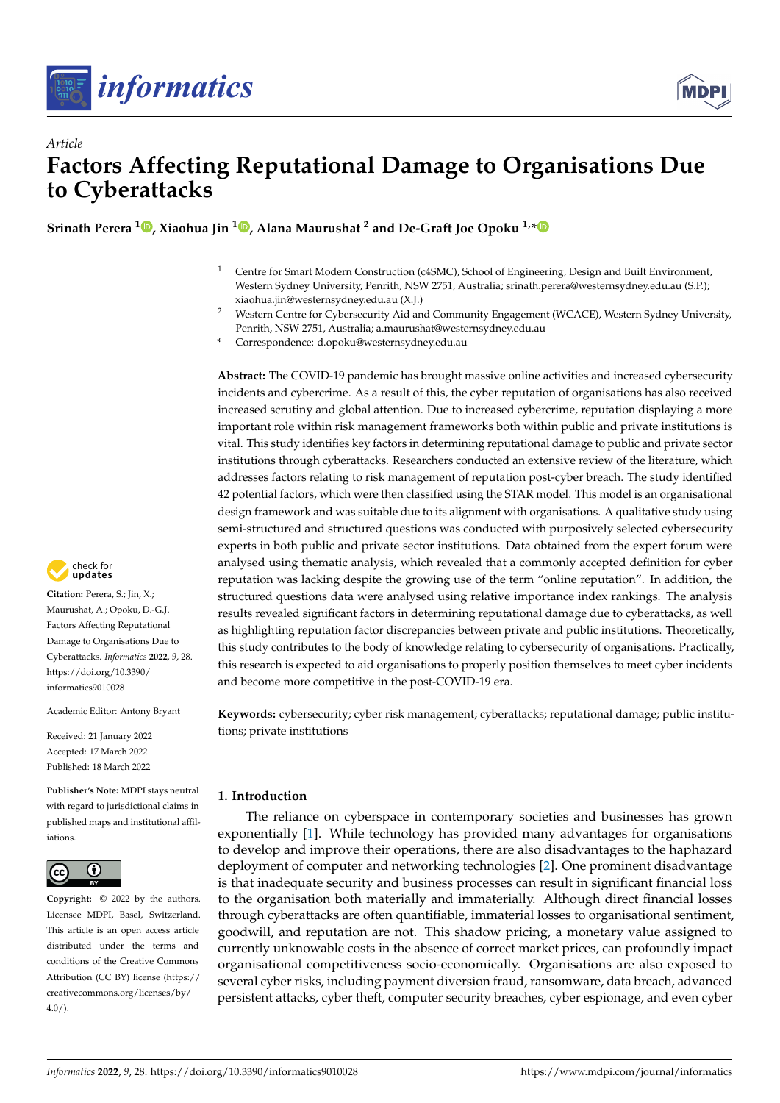



# *Article* **Factors Affecting Reputational Damage to Organisations Due to Cyberattacks**

**Srinath Perera <sup>1</sup> [,](https://orcid.org/0000-0001-9218-9282) Xiaohua Jin <sup>1</sup> [,](https://orcid.org/0000-0003-0877-9533) Alana Maurushat <sup>2</sup> and De-Graft Joe Opoku 1,[\\*](https://orcid.org/0000-0003-2557-5268)**

- <sup>1</sup> Centre for Smart Modern Construction (c4SMC), School of Engineering, Design and Built Environment, Western Sydney University, Penrith, NSW 2751, Australia; srinath.perera@westernsydney.edu.au (S.P.); xiaohua.jin@westernsydney.edu.au (X.J.)
- <sup>2</sup> Western Centre for Cybersecurity Aid and Community Engagement (WCACE), Western Sydney University, Penrith, NSW 2751, Australia; a.maurushat@westernsydney.edu.au
- **\*** Correspondence: d.opoku@westernsydney.edu.au

**Abstract:** The COVID-19 pandemic has brought massive online activities and increased cybersecurity incidents and cybercrime. As a result of this, the cyber reputation of organisations has also received increased scrutiny and global attention. Due to increased cybercrime, reputation displaying a more important role within risk management frameworks both within public and private institutions is vital. This study identifies key factors in determining reputational damage to public and private sector institutions through cyberattacks. Researchers conducted an extensive review of the literature, which addresses factors relating to risk management of reputation post-cyber breach. The study identified 42 potential factors, which were then classified using the STAR model. This model is an organisational design framework and was suitable due to its alignment with organisations. A qualitative study using semi-structured and structured questions was conducted with purposively selected cybersecurity experts in both public and private sector institutions. Data obtained from the expert forum were analysed using thematic analysis, which revealed that a commonly accepted definition for cyber reputation was lacking despite the growing use of the term "online reputation". In addition, the structured questions data were analysed using relative importance index rankings. The analysis results revealed significant factors in determining reputational damage due to cyberattacks, as well as highlighting reputation factor discrepancies between private and public institutions. Theoretically, this study contributes to the body of knowledge relating to cybersecurity of organisations. Practically, this research is expected to aid organisations to properly position themselves to meet cyber incidents and become more competitive in the post-COVID-19 era.

**Keywords:** cybersecurity; cyber risk management; cyberattacks; reputational damage; public institutions; private institutions

# **1. Introduction**

The reliance on cyberspace in contemporary societies and businesses has grown exponentially [\[1\]](#page-19-0). While technology has provided many advantages for organisations to develop and improve their operations, there are also disadvantages to the haphazard deployment of computer and networking technologies [\[2\]](#page-19-1). One prominent disadvantage is that inadequate security and business processes can result in significant financial loss to the organisation both materially and immaterially. Although direct financial losses through cyberattacks are often quantifiable, immaterial losses to organisational sentiment, goodwill, and reputation are not. This shadow pricing, a monetary value assigned to currently unknowable costs in the absence of correct market prices, can profoundly impact organisational competitiveness socio-economically. Organisations are also exposed to several cyber risks, including payment diversion fraud, ransomware, data breach, advanced persistent attacks, cyber theft, computer security breaches, cyber espionage, and even cyber



**Citation:** Perera, S.; Jin, X.; Maurushat, A.; Opoku, D.-G.J. Factors Affecting Reputational Damage to Organisations Due to Cyberattacks. *Informatics* **2022**, *9*, 28. [https://doi.org/10.3390/](https://doi.org/10.3390/informatics9010028) [informatics9010028](https://doi.org/10.3390/informatics9010028)

Academic Editor: Antony Bryant

Received: 21 January 2022 Accepted: 17 March 2022 Published: 18 March 2022

**Publisher's Note:** MDPI stays neutral with regard to jurisdictional claims in published maps and institutional affiliations.



**Copyright:** © 2022 by the authors. Licensee MDPI, Basel, Switzerland. This article is an open access article distributed under the terms and conditions of the Creative Commons Attribution (CC BY) license [\(https://](https://creativecommons.org/licenses/by/4.0/) [creativecommons.org/licenses/by/](https://creativecommons.org/licenses/by/4.0/)  $4.0/$ ).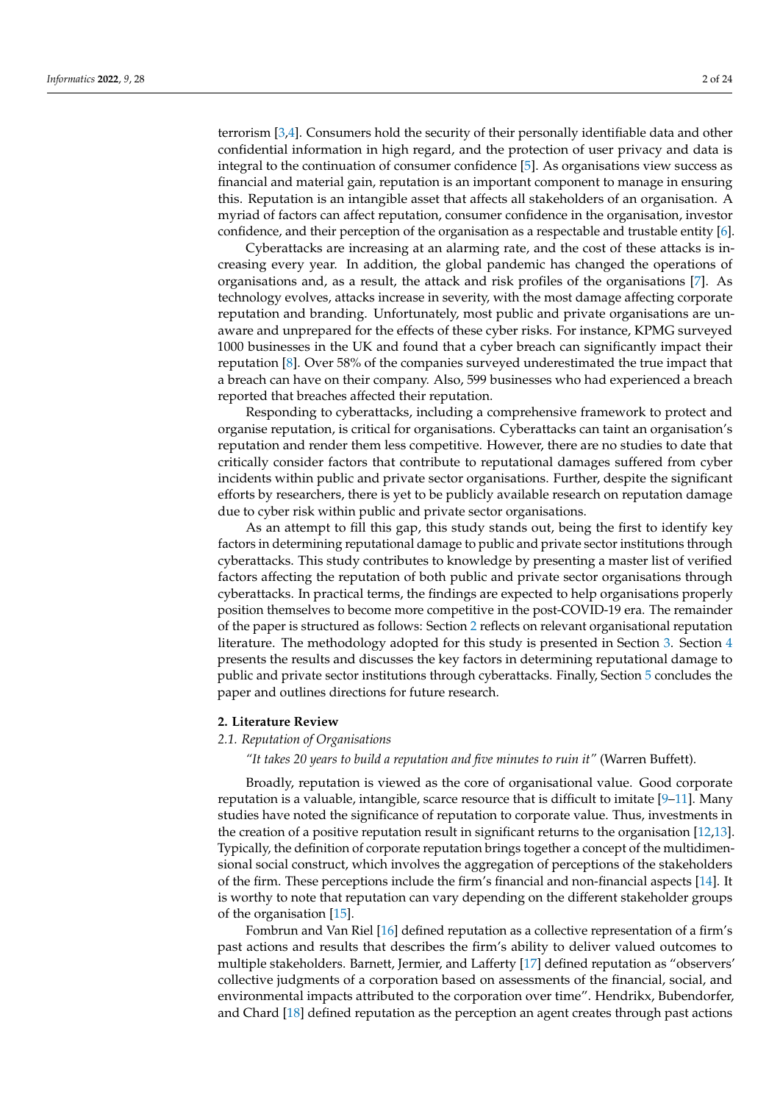terrorism [\[3,](#page-19-2)[4\]](#page-19-3). Consumers hold the security of their personally identifiable data and other confidential information in high regard, and the protection of user privacy and data is integral to the continuation of consumer confidence [\[5\]](#page-19-4). As organisations view success as financial and material gain, reputation is an important component to manage in ensuring this. Reputation is an intangible asset that affects all stakeholders of an organisation. A myriad of factors can affect reputation, consumer confidence in the organisation, investor confidence, and their perception of the organisation as a respectable and trustable entity [\[6\]](#page-19-5).

Cyberattacks are increasing at an alarming rate, and the cost of these attacks is increasing every year. In addition, the global pandemic has changed the operations of organisations and, as a result, the attack and risk profiles of the organisations [\[7\]](#page-19-6). As technology evolves, attacks increase in severity, with the most damage affecting corporate reputation and branding. Unfortunately, most public and private organisations are unaware and unprepared for the effects of these cyber risks. For instance, KPMG surveyed 1000 businesses in the UK and found that a cyber breach can significantly impact their reputation [\[8\]](#page-19-7). Over 58% of the companies surveyed underestimated the true impact that a breach can have on their company. Also, 599 businesses who had experienced a breach reported that breaches affected their reputation.

Responding to cyberattacks, including a comprehensive framework to protect and organise reputation, is critical for organisations. Cyberattacks can taint an organisation's reputation and render them less competitive. However, there are no studies to date that critically consider factors that contribute to reputational damages suffered from cyber incidents within public and private sector organisations. Further, despite the significant efforts by researchers, there is yet to be publicly available research on reputation damage due to cyber risk within public and private sector organisations.

As an attempt to fill this gap, this study stands out, being the first to identify key factors in determining reputational damage to public and private sector institutions through cyberattacks. This study contributes to knowledge by presenting a master list of verified factors affecting the reputation of both public and private sector organisations through cyberattacks. In practical terms, the findings are expected to help organisations properly position themselves to become more competitive in the post-COVID-19 era. The remainder of the paper is structured as follows: Section [2](#page-1-0) reflects on relevant organisational reputation literature. The methodology adopted for this study is presented in Section [3.](#page-6-0) Section [4](#page-9-0) presents the results and discusses the key factors in determining reputational damage to public and private sector institutions through cyberattacks. Finally, Section [5](#page-17-0) concludes the paper and outlines directions for future research.

## <span id="page-1-0"></span>**2. Literature Review**

# *2.1. Reputation of Organisations*

## *"It takes 20 years to build a reputation and five minutes to ruin it"* (Warren Buffett).

Broadly, reputation is viewed as the core of organisational value. Good corporate reputation is a valuable, intangible, scarce resource that is difficult to imitate  $[9-11]$  $[9-11]$ . Many studies have noted the significance of reputation to corporate value. Thus, investments in the creation of a positive reputation result in significant returns to the organisation [\[12](#page-19-10)[,13\]](#page-19-11). Typically, the definition of corporate reputation brings together a concept of the multidimensional social construct, which involves the aggregation of perceptions of the stakeholders of the firm. These perceptions include the firm's financial and non-financial aspects [\[14\]](#page-19-12). It is worthy to note that reputation can vary depending on the different stakeholder groups of the organisation [\[15\]](#page-19-13).

Fombrun and Van Riel [\[16\]](#page-19-14) defined reputation as a collective representation of a firm's past actions and results that describes the firm's ability to deliver valued outcomes to multiple stakeholders. Barnett, Jermier, and Lafferty [\[17\]](#page-19-15) defined reputation as "observers' collective judgments of a corporation based on assessments of the financial, social, and environmental impacts attributed to the corporation over time". Hendrikx, Bubendorfer, and Chard [\[18\]](#page-19-16) defined reputation as the perception an agent creates through past actions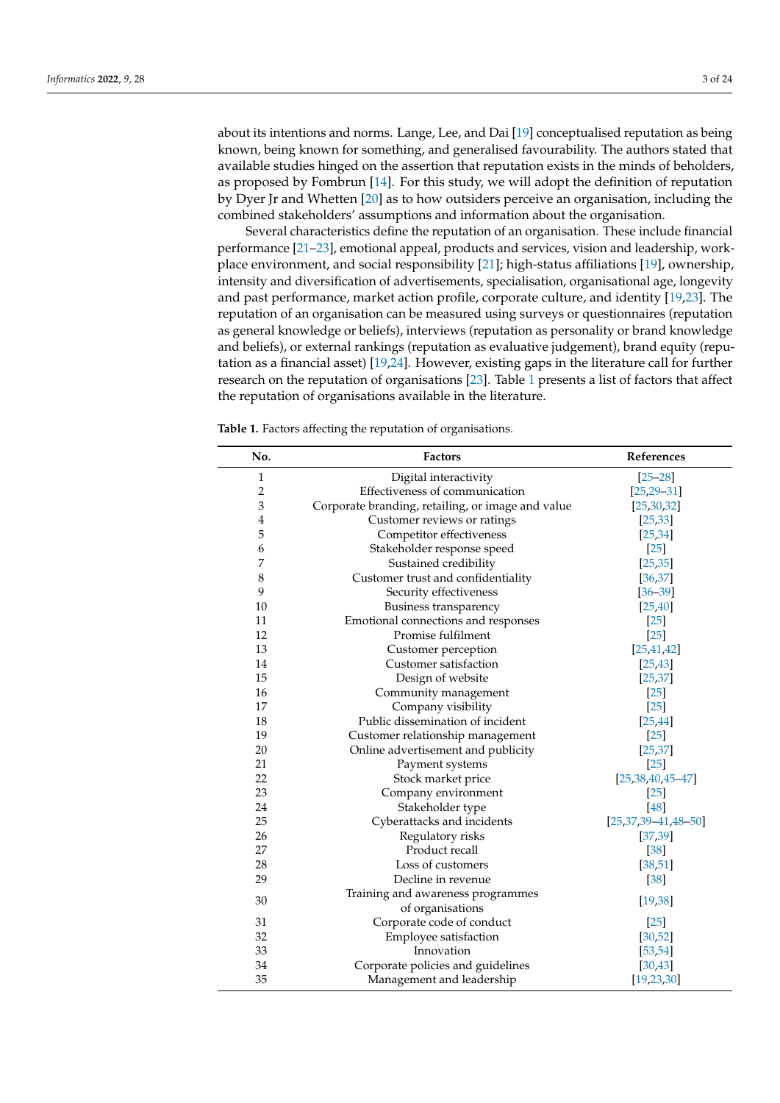about its intentions and norms. Lange, Lee, and Dai [\[19\]](#page-19-17) conceptualised reputation as being known, being known for something, and generalised favourability. The authors stated that available studies hinged on the assertion that reputation exists in the minds of beholders, as proposed by Fombrun [\[14\]](#page-19-12). For this study, we will adopt the definition of reputation by Dyer Jr and Whetten [\[20\]](#page-19-18) as to how outsiders perceive an organisation, including the combined stakeholders' assumptions and information about the organisation.

Several characteristics define the reputation of an organisation. These include financial performance [\[21–](#page-19-19)[23\]](#page-20-0), emotional appeal, products and services, vision and leadership, workplace environment, and social responsibility [\[21\]](#page-19-19); high-status affiliations [\[19\]](#page-19-17), ownership, intensity and diversification of advertisements, specialisation, organisational age, longevity and past performance, market action profile, corporate culture, and identity [\[19](#page-19-17)[,23\]](#page-20-0). The reputation of an organisation can be measured using surveys or questionnaires (reputation as general knowledge or beliefs), interviews (reputation as personality or brand knowledge and beliefs), or external rankings (reputation as evaluative judgement), brand equity (reputation as a financial asset) [\[19,](#page-19-17)[24\]](#page-20-1). However, existing gaps in the literature call for further research on the reputation of organisations [\[23\]](#page-20-0). Table [1](#page-3-0) presents a list of factors that affect the reputation of organisations available in the literature.

**Table 1.** Factors affecting the reputation of organisations.

| No.            | <b>Factors</b>                                    | References            |
|----------------|---------------------------------------------------|-----------------------|
| 1              | Digital interactivity                             | $[25 - 28]$           |
| $\overline{c}$ | Effectiveness of communication                    | $[25, 29 - 31]$       |
| 3              | Corporate branding, retailing, or image and value | [25, 30, 32]          |
| 4              | Customer reviews or ratings                       | [25, 33]              |
| 5              | Competitor effectiveness                          | [25, 34]              |
| 6              | Stakeholder response speed                        | $[25]$                |
| 7              | Sustained credibility                             | [25, 35]              |
| 8              | Customer trust and confidentiality                | [36, 37]              |
| 9              | Security effectiveness                            | $[36 - 39]$           |
| 10             | Business transparency                             | [25, 40]              |
| 11             | Emotional connections and responses               | $[25]$                |
| 12             | Promise fulfilment                                | $[25]$                |
| 13             | Customer perception                               | [25, 41, 42]          |
| 14             | Customer satisfaction                             | [25, 43]              |
| 15             | Design of website                                 | [25, 37]              |
| 16             | Community management                              | $[25]$                |
| 17             | Company visibility                                | $[25]$                |
| 18             | Public dissemination of incident                  | [25, 44]              |
| 19             | Customer relationship management                  | $[25]$                |
| 20             | Online advertisement and publicity                | [25, 37]              |
| 21             | Payment systems                                   | $[25]$                |
| 22             | Stock market price                                | $[25,38,40,45-47]$    |
| 23             | Company environment                               | $[25]$                |
| 24             | Stakeholder type                                  | [48]                  |
| 25             | Cyberattacks and incidents                        | $[25,37,39-41,48-50]$ |
| 26             | Regulatory risks                                  | [37, 39]              |
| 27             | Product recall                                    | $[38]$                |
| 28             | Loss of customers                                 | [38, 51]              |
| 29             | Decline in revenue                                | $[38]$                |
| 30             | Training and awareness programmes                 | [19, 38]              |
|                | of organisations                                  |                       |
| 31             | Corporate code of conduct                         | $[25]$                |
| 32             | Employee satisfaction                             | [30, 52]              |
| 33             | Innovation                                        | [53, 54]              |
| 34             | Corporate policies and guidelines                 | [30, 43]              |
| 35             | Management and leadership                         | [19, 23, 30]          |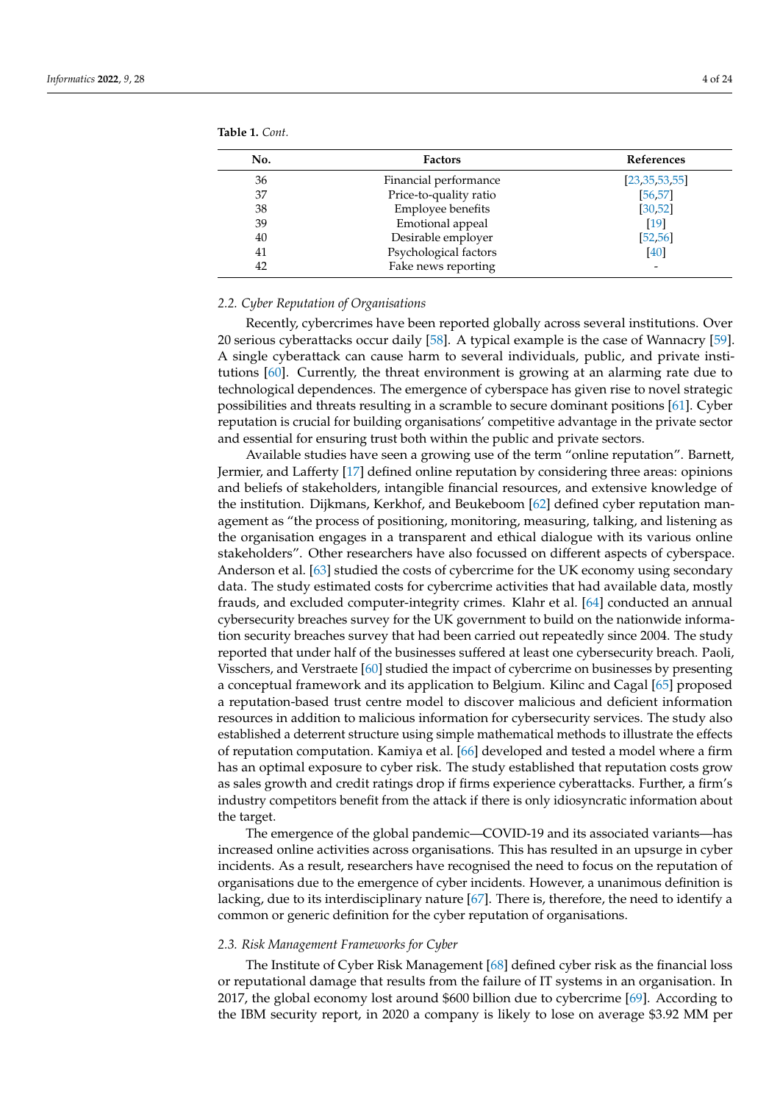| <b>Factors</b>         | <b>References</b>                           |
|------------------------|---------------------------------------------|
| Financial performance  | [23, 35, 53, 55]                            |
| Price-to-quality ratio | [56, 57]                                    |
| Employee benefits      | [30, 52]                                    |
| Emotional appeal       | [19]                                        |
|                        | [52, 56]                                    |
|                        | [40]                                        |
| Fake news reporting    |                                             |
|                        | Desirable employer<br>Psychological factors |

<span id="page-3-0"></span>**Table 1.** *Cont.*

## *2.2. Cyber Reputation of Organisations*

Recently, cybercrimes have been reported globally across several institutions. Over 20 serious cyberattacks occur daily [\[58\]](#page-21-3). A typical example is the case of Wannacry [\[59\]](#page-21-4). A single cyberattack can cause harm to several individuals, public, and private institutions [\[60\]](#page-21-5). Currently, the threat environment is growing at an alarming rate due to technological dependences. The emergence of cyberspace has given rise to novel strategic possibilities and threats resulting in a scramble to secure dominant positions [\[61\]](#page-21-6). Cyber reputation is crucial for building organisations' competitive advantage in the private sector and essential for ensuring trust both within the public and private sectors.

Available studies have seen a growing use of the term "online reputation". Barnett, Jermier, and Lafferty [\[17\]](#page-19-15) defined online reputation by considering three areas: opinions and beliefs of stakeholders, intangible financial resources, and extensive knowledge of the institution. Dijkmans, Kerkhof, and Beukeboom [\[62\]](#page-21-7) defined cyber reputation management as "the process of positioning, monitoring, measuring, talking, and listening as the organisation engages in a transparent and ethical dialogue with its various online stakeholders". Other researchers have also focussed on different aspects of cyberspace. Anderson et al. [\[63\]](#page-21-8) studied the costs of cybercrime for the UK economy using secondary data. The study estimated costs for cybercrime activities that had available data, mostly frauds, and excluded computer-integrity crimes. Klahr et al. [\[64\]](#page-21-9) conducted an annual cybersecurity breaches survey for the UK government to build on the nationwide information security breaches survey that had been carried out repeatedly since 2004. The study reported that under half of the businesses suffered at least one cybersecurity breach. Paoli, Visschers, and Verstraete [\[60\]](#page-21-5) studied the impact of cybercrime on businesses by presenting a conceptual framework and its application to Belgium. Kilinc and Cagal [\[65\]](#page-21-10) proposed a reputation-based trust centre model to discover malicious and deficient information resources in addition to malicious information for cybersecurity services. The study also established a deterrent structure using simple mathematical methods to illustrate the effects of reputation computation. Kamiya et al. [\[66\]](#page-21-11) developed and tested a model where a firm has an optimal exposure to cyber risk. The study established that reputation costs grow as sales growth and credit ratings drop if firms experience cyberattacks. Further, a firm's industry competitors benefit from the attack if there is only idiosyncratic information about the target.

The emergence of the global pandemic—COVID-19 and its associated variants—has increased online activities across organisations. This has resulted in an upsurge in cyber incidents. As a result, researchers have recognised the need to focus on the reputation of organisations due to the emergence of cyber incidents. However, a unanimous definition is lacking, due to its interdisciplinary nature [\[67\]](#page-21-12). There is, therefore, the need to identify a common or generic definition for the cyber reputation of organisations.

#### *2.3. Risk Management Frameworks for Cyber*

The Institute of Cyber Risk Management [\[68\]](#page-21-13) defined cyber risk as the financial loss or reputational damage that results from the failure of IT systems in an organisation. In 2017, the global economy lost around \$600 billion due to cybercrime [\[69\]](#page-21-14). According to the IBM security report, in 2020 a company is likely to lose on average \$3.92 MM per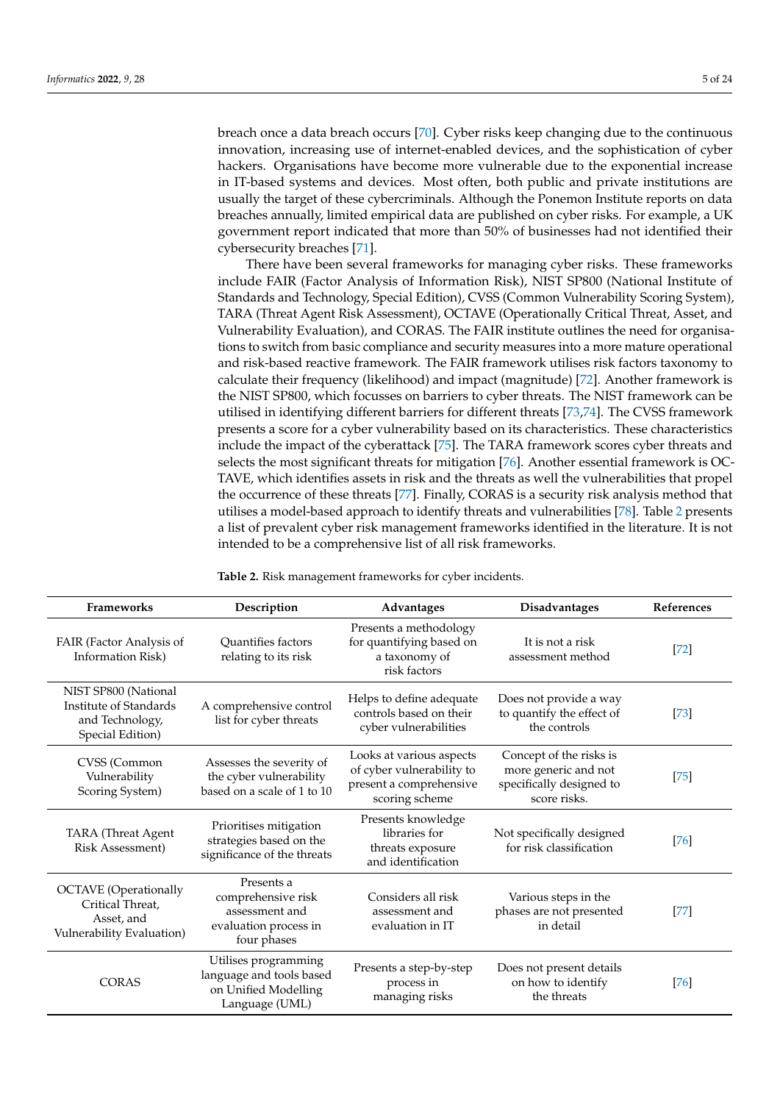breach once a data breach occurs [\[70\]](#page-21-15). Cyber risks keep changing due to the continuous innovation, increasing use of internet-enabled devices, and the sophistication of cyber hackers. Organisations have become more vulnerable due to the exponential increase in IT-based systems and devices. Most often, both public and private institutions are usually the target of these cybercriminals. Although the Ponemon Institute reports on data breaches annually, limited empirical data are published on cyber risks. For example, a UK government report indicated that more than 50% of businesses had not identified their cybersecurity breaches [\[71\]](#page-21-16).

There have been several frameworks for managing cyber risks. These frameworks include FAIR (Factor Analysis of Information Risk), NIST SP800 (National Institute of Standards and Technology, Special Edition), CVSS (Common Vulnerability Scoring System), TARA (Threat Agent Risk Assessment), OCTAVE (Operationally Critical Threat, Asset, and Vulnerability Evaluation), and CORAS. The FAIR institute outlines the need for organisations to switch from basic compliance and security measures into a more mature operational and risk-based reactive framework. The FAIR framework utilises risk factors taxonomy to calculate their frequency (likelihood) and impact (magnitude) [\[72\]](#page-21-17). Another framework is the NIST SP800, which focusses on barriers to cyber threats. The NIST framework can be utilised in identifying different barriers for different threats [\[73,](#page-21-18)[74\]](#page-21-19). The CVSS framework presents a score for a cyber vulnerability based on its characteristics. These characteristics include the impact of the cyberattack [\[75\]](#page-21-20). The TARA framework scores cyber threats and selects the most significant threats for mitigation [\[76\]](#page-21-21). Another essential framework is OC-TAVE, which identifies assets in risk and the threats as well the vulnerabilities that propel the occurrence of these threats [\[77\]](#page-21-22). Finally, CORAS is a security risk analysis method that utilises a model-based approach to identify threats and vulnerabilities [\[78\]](#page-21-23). Table [2](#page-4-0) presents a list of prevalent cyber risk management frameworks identified in the literature. It is not intended to be a comprehensive list of all risk frameworks.

<span id="page-4-0"></span>**Table 2.** Risk management frameworks for cyber incidents.

| <b>Frameworks</b>                                                                           | Description<br>Advantages                                                                  |                                                                                                    | Disadvantages                                                                               | References |
|---------------------------------------------------------------------------------------------|--------------------------------------------------------------------------------------------|----------------------------------------------------------------------------------------------------|---------------------------------------------------------------------------------------------|------------|
| FAIR (Factor Analysis of<br><b>Information Risk)</b>                                        | <b>Ouantifies factors</b><br>relating to its risk                                          | Presents a methodology<br>for quantifying based on<br>a taxonomy of<br>risk factors                | It is not a risk<br>assessment method                                                       | $[72]$     |
| NIST SP800 (National<br>Institute of Standards<br>and Technology,<br>Special Edition)       | A comprehensive control<br>list for cyber threats                                          | Helps to define adequate<br>controls based on their<br>cyber vulnerabilities                       | Does not provide a way<br>to quantify the effect of<br>the controls                         | [73]       |
| CVSS (Common<br>Vulnerability<br>Scoring System)                                            | Assesses the severity of<br>the cyber vulnerability<br>based on a scale of 1 to 10         | Looks at various aspects<br>of cyber vulnerability to<br>present a comprehensive<br>scoring scheme | Concept of the risks is<br>more generic and not<br>specifically designed to<br>score risks. | $[75]$     |
| TARA (Threat Agent<br><b>Risk Assessment</b> )                                              | Prioritises mitigation<br>strategies based on the<br>significance of the threats           | Presents knowledge<br>libraries for<br>threats exposure<br>and identification                      | Not specifically designed<br>for risk classification                                        | [76]       |
| <b>OCTAVE</b> (Operationally<br>Critical Threat,<br>Asset, and<br>Vulnerability Evaluation) | Presents a<br>comprehensive risk<br>assessment and<br>evaluation process in<br>four phases | Considers all risk<br>assessment and<br>evaluation in IT                                           | Various steps in the<br>phases are not presented<br>in detail                               | $[77]$     |
| <b>CORAS</b>                                                                                | Utilises programming<br>language and tools based<br>on Unified Modelling<br>Language (UML) | Presents a step-by-step<br>process in<br>managing risks                                            | Does not present details<br>on how to identify<br>the threats                               | [76]       |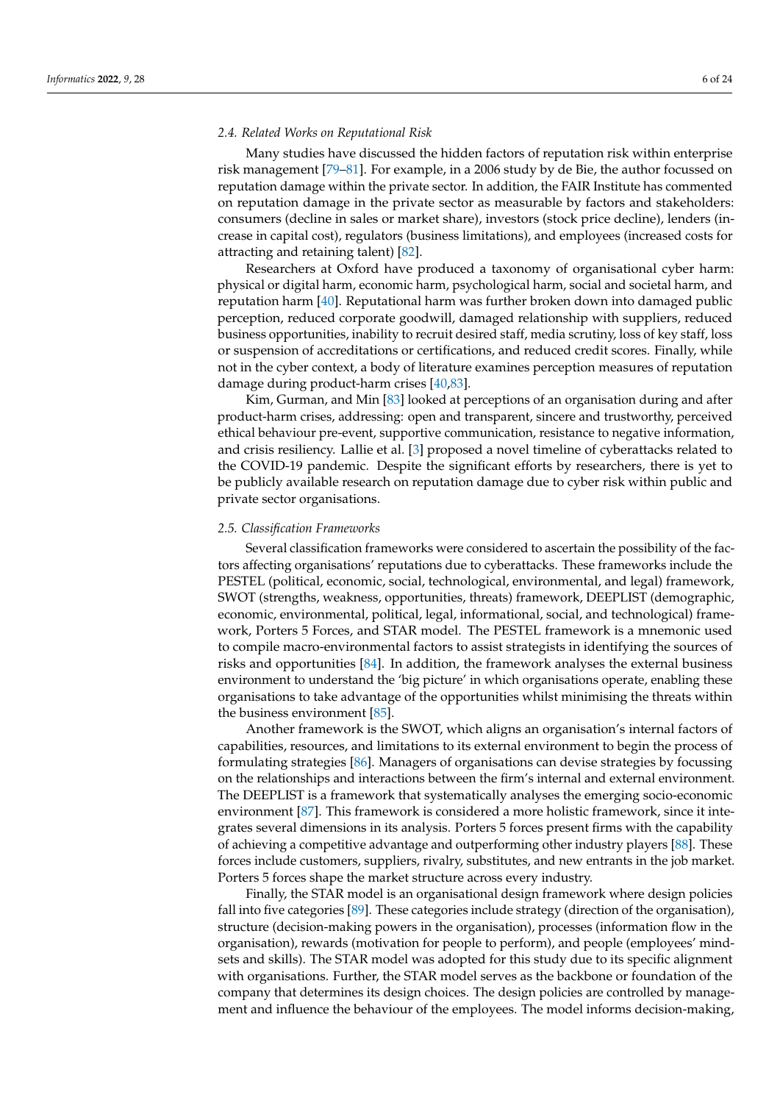## *2.4. Related Works on Reputational Risk*

Many studies have discussed the hidden factors of reputation risk within enterprise risk management [\[79](#page-21-24)[–81\]](#page-21-25). For example, in a 2006 study by de Bie, the author focussed on reputation damage within the private sector. In addition, the FAIR Institute has commented on reputation damage in the private sector as measurable by factors and stakeholders: consumers (decline in sales or market share), investors (stock price decline), lenders (increase in capital cost), regulators (business limitations), and employees (increased costs for attracting and retaining talent) [\[82\]](#page-21-26).

Researchers at Oxford have produced a taxonomy of organisational cyber harm: physical or digital harm, economic harm, psychological harm, social and societal harm, and reputation harm [\[40\]](#page-20-14). Reputational harm was further broken down into damaged public perception, reduced corporate goodwill, damaged relationship with suppliers, reduced business opportunities, inability to recruit desired staff, media scrutiny, loss of key staff, loss or suspension of accreditations or certifications, and reduced credit scores. Finally, while not in the cyber context, a body of literature examines perception measures of reputation damage during product-harm crises [\[40](#page-20-14)[,83\]](#page-22-0).

Kim, Gurman, and Min [\[83\]](#page-22-0) looked at perceptions of an organisation during and after product-harm crises, addressing: open and transparent, sincere and trustworthy, perceived ethical behaviour pre-event, supportive communication, resistance to negative information, and crisis resiliency. Lallie et al. [\[3\]](#page-19-2) proposed a novel timeline of cyberattacks related to the COVID-19 pandemic. Despite the significant efforts by researchers, there is yet to be publicly available research on reputation damage due to cyber risk within public and private sector organisations.

## *2.5. Classification Frameworks*

Several classification frameworks were considered to ascertain the possibility of the factors affecting organisations' reputations due to cyberattacks. These frameworks include the PESTEL (political, economic, social, technological, environmental, and legal) framework, SWOT (strengths, weakness, opportunities, threats) framework, DEEPLIST (demographic, economic, environmental, political, legal, informational, social, and technological) framework, Porters 5 Forces, and STAR model. The PESTEL framework is a mnemonic used to compile macro-environmental factors to assist strategists in identifying the sources of risks and opportunities [\[84\]](#page-22-1). In addition, the framework analyses the external business environment to understand the 'big picture' in which organisations operate, enabling these organisations to take advantage of the opportunities whilst minimising the threats within the business environment [\[85\]](#page-22-2).

Another framework is the SWOT, which aligns an organisation's internal factors of capabilities, resources, and limitations to its external environment to begin the process of formulating strategies [\[86\]](#page-22-3). Managers of organisations can devise strategies by focussing on the relationships and interactions between the firm's internal and external environment. The DEEPLIST is a framework that systematically analyses the emerging socio-economic environment [\[87\]](#page-22-4). This framework is considered a more holistic framework, since it integrates several dimensions in its analysis. Porters 5 forces present firms with the capability of achieving a competitive advantage and outperforming other industry players [\[88\]](#page-22-5). These forces include customers, suppliers, rivalry, substitutes, and new entrants in the job market. Porters 5 forces shape the market structure across every industry.

Finally, the STAR model is an organisational design framework where design policies fall into five categories [\[89\]](#page-22-6). These categories include strategy (direction of the organisation), structure (decision-making powers in the organisation), processes (information flow in the organisation), rewards (motivation for people to perform), and people (employees' mindsets and skills). The STAR model was adopted for this study due to its specific alignment with organisations. Further, the STAR model serves as the backbone or foundation of the company that determines its design choices. The design policies are controlled by management and influence the behaviour of the employees. The model informs decision-making,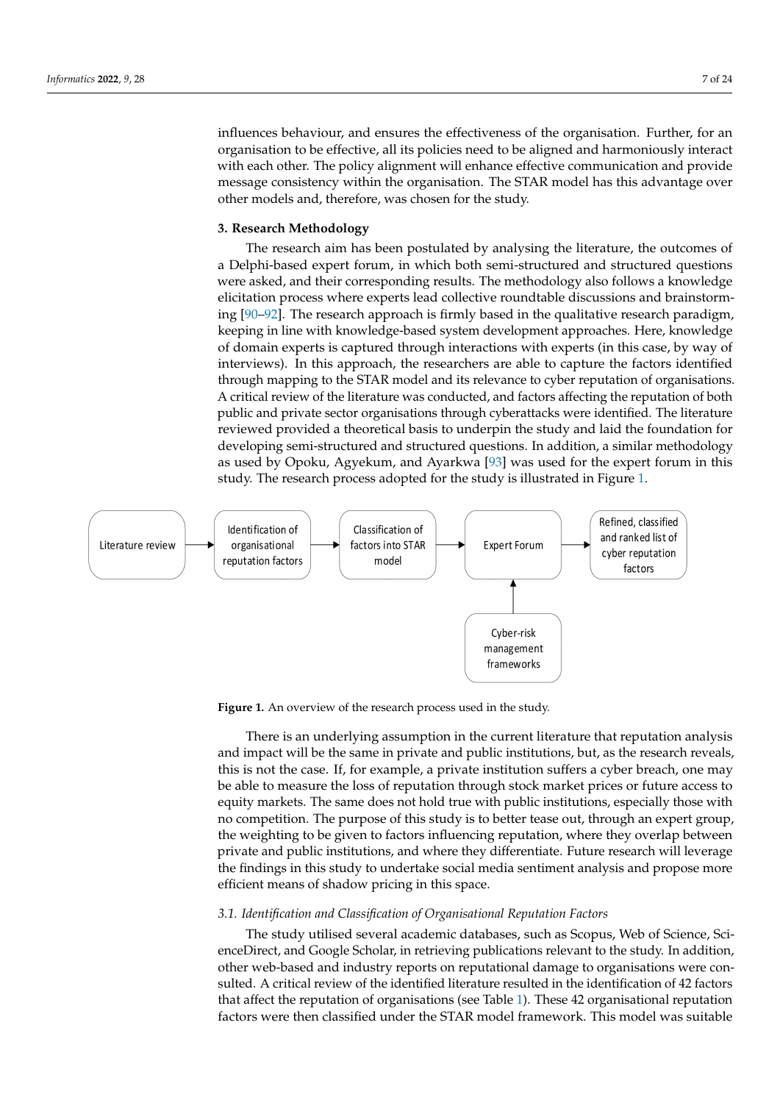influences behaviour, and ensures the effectiveness of the organisation. Further, for an organisation to be effective, all its policies need to be aligned and harmoniously interact with each other. The policy alignment will enhance effective communication and provide message consistency within the organisation. The STAR model has this advantage over other models and, therefore, was chosen for the study.

## <span id="page-6-0"></span>**3. Research Methodology**

The research aim has been postulated by analysing the literature, the outcomes of a Delphi-based expert forum, in which both semi-structured and structured questions were asked, and their corresponding results. The methodology also follows a knowledge elicitation process where experts lead collective roundtable discussions and brainstorming [\[90–](#page-22-7)[92\]](#page-22-8). The research approach is firmly based in the qualitative research paradigm, keeping in line with knowledge-based system development approaches. Here, knowledge of domain experts is captured through interactions with experts (in this case, by way of interviews). In this approach, the researchers are able to capture the factors identified through mapping to the STAR model and its relevance to cyber reputation of organisations. A critical review of the literature was conducted, and factors affecting the reputation of both public and private sector organisations through cyberattacks were identified. The literature reviewed provided a theoretical basis to underpin the study and laid the foundation for developing semi-structured and structured questions. In addition, a similar methodology as used by Opoku, Agyekum, and Ayarkwa [\[93\]](#page-22-9) was used for the expert forum in this study. The research process adopted for the study is illustrated in Figure [1.](#page-6-1)

<span id="page-6-1"></span>

**Figure 1.** An overview of the research process used in the study.

There is an underlying assumption in the current literature that reputation analysis and impact will be the same in private and public institutions, but, as the research reveals, this is not the case. If, for example, a private institution suffers a cyber breach, one may be able to measure the loss of reputation through stock market prices or future access to equity markets. The same does not hold true with public institutions, especially those with no competition. The purpose of this study is to better tease out, through an expert group, the weighting to be given to factors influencing reputation, where they overlap between private and public institutions, and where they differentiate. Future research will leverage the findings in this study to undertake social media sentiment analysis and propose more efficient means of shadow pricing in this space.

## *3.1. Identification and Classification of Organisational Reputation Factors*

The study utilised several academic databases, such as Scopus, Web of Science, ScienceDirect, and Google Scholar, in retrieving publications relevant to the study. In addition, other web-based and industry reports on reputational damage to organisations were consulted. A critical review of the identified literature resulted in the identification of 42 factors that affect the reputation of organisations (see Table [1\)](#page-3-0). These 42 organisational reputation factors were then classified under the STAR model framework. This model was suitable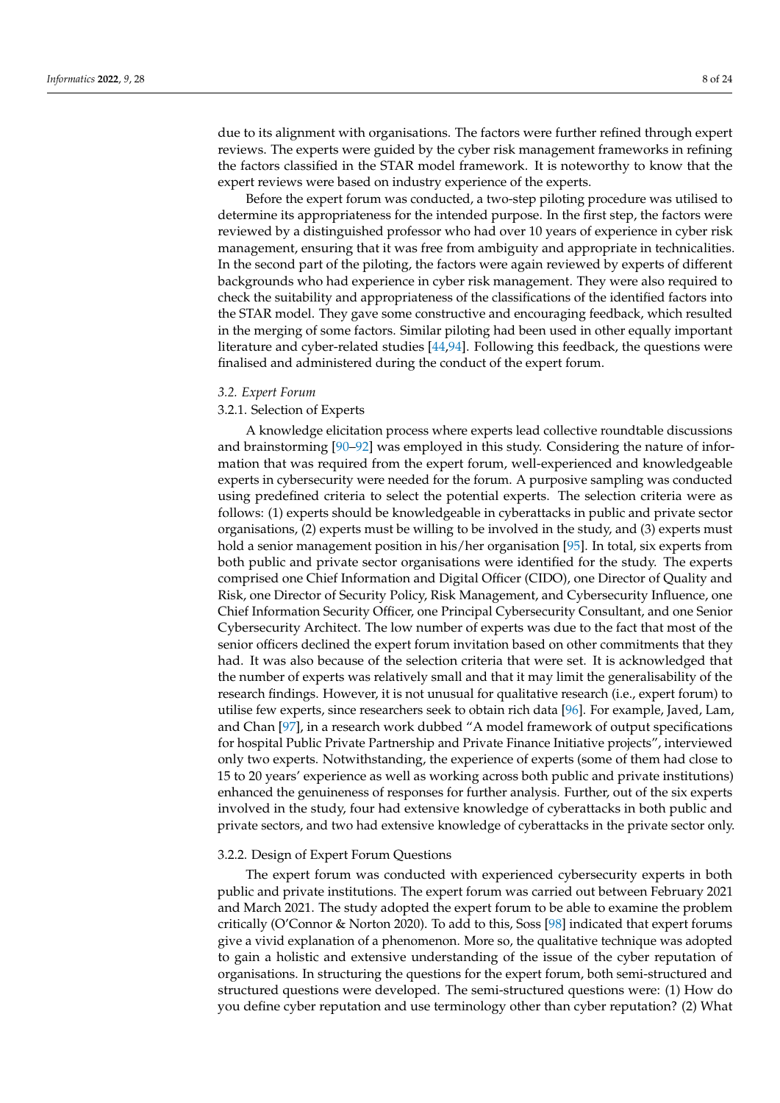due to its alignment with organisations. The factors were further refined through expert reviews. The experts were guided by the cyber risk management frameworks in refining the factors classified in the STAR model framework. It is noteworthy to know that the expert reviews were based on industry experience of the experts.

Before the expert forum was conducted, a two-step piloting procedure was utilised to determine its appropriateness for the intended purpose. In the first step, the factors were reviewed by a distinguished professor who had over 10 years of experience in cyber risk management, ensuring that it was free from ambiguity and appropriate in technicalities. In the second part of the piloting, the factors were again reviewed by experts of different backgrounds who had experience in cyber risk management. They were also required to check the suitability and appropriateness of the classifications of the identified factors into the STAR model. They gave some constructive and encouraging feedback, which resulted in the merging of some factors. Similar piloting had been used in other equally important literature and cyber-related studies [\[44](#page-20-18)[,94\]](#page-22-10). Following this feedback, the questions were finalised and administered during the conduct of the expert forum.

## *3.2. Expert Forum*

# 3.2.1. Selection of Experts

A knowledge elicitation process where experts lead collective roundtable discussions and brainstorming [\[90–](#page-22-7)[92\]](#page-22-8) was employed in this study. Considering the nature of information that was required from the expert forum, well-experienced and knowledgeable experts in cybersecurity were needed for the forum. A purposive sampling was conducted using predefined criteria to select the potential experts. The selection criteria were as follows: (1) experts should be knowledgeable in cyberattacks in public and private sector organisations, (2) experts must be willing to be involved in the study, and (3) experts must hold a senior management position in his/her organisation [\[95\]](#page-22-11). In total, six experts from both public and private sector organisations were identified for the study. The experts comprised one Chief Information and Digital Officer (CIDO), one Director of Quality and Risk, one Director of Security Policy, Risk Management, and Cybersecurity Influence, one Chief Information Security Officer, one Principal Cybersecurity Consultant, and one Senior Cybersecurity Architect. The low number of experts was due to the fact that most of the senior officers declined the expert forum invitation based on other commitments that they had. It was also because of the selection criteria that were set. It is acknowledged that the number of experts was relatively small and that it may limit the generalisability of the research findings. However, it is not unusual for qualitative research (i.e., expert forum) to utilise few experts, since researchers seek to obtain rich data [\[96\]](#page-22-12). For example, Javed, Lam, and Chan [\[97\]](#page-22-13), in a research work dubbed "A model framework of output specifications for hospital Public Private Partnership and Private Finance Initiative projects", interviewed only two experts. Notwithstanding, the experience of experts (some of them had close to 15 to 20 years' experience as well as working across both public and private institutions) enhanced the genuineness of responses for further analysis. Further, out of the six experts involved in the study, four had extensive knowledge of cyberattacks in both public and private sectors, and two had extensive knowledge of cyberattacks in the private sector only.

## 3.2.2. Design of Expert Forum Questions

The expert forum was conducted with experienced cybersecurity experts in both public and private institutions. The expert forum was carried out between February 2021 and March 2021. The study adopted the expert forum to be able to examine the problem critically (O'Connor & Norton 2020). To add to this, Soss [\[98\]](#page-22-14) indicated that expert forums give a vivid explanation of a phenomenon. More so, the qualitative technique was adopted to gain a holistic and extensive understanding of the issue of the cyber reputation of organisations. In structuring the questions for the expert forum, both semi-structured and structured questions were developed. The semi-structured questions were: (1) How do you define cyber reputation and use terminology other than cyber reputation? (2) What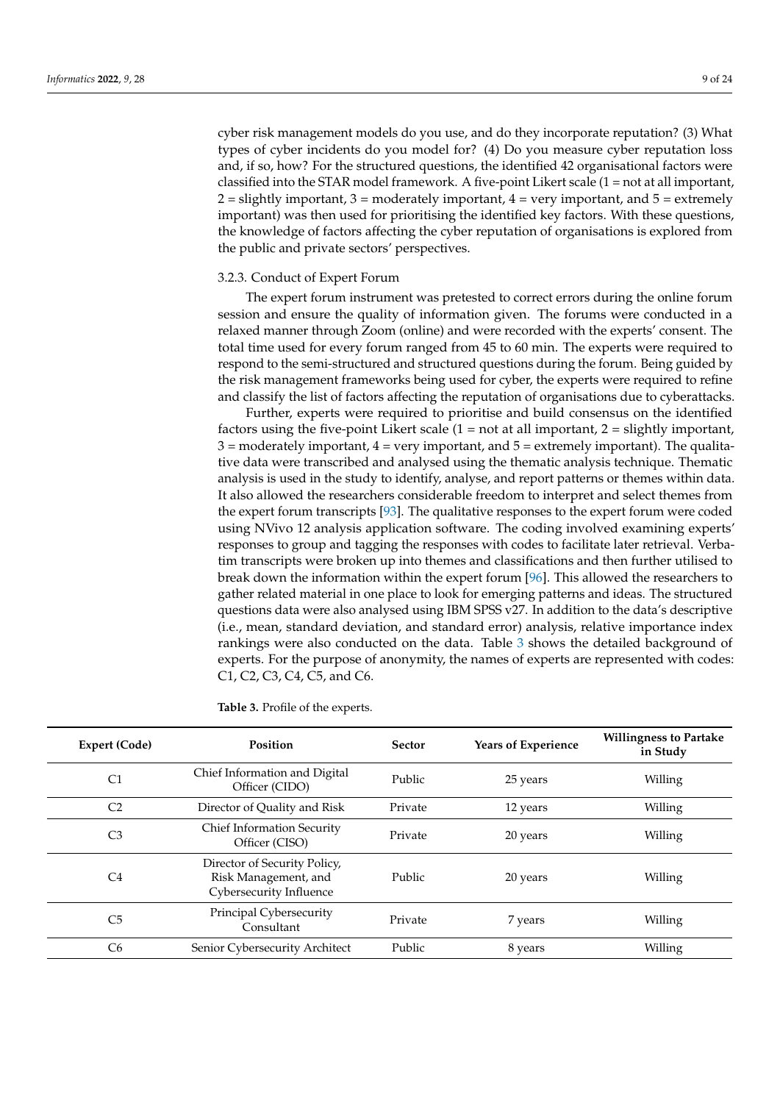cyber risk management models do you use, and do they incorporate reputation? (3) What types of cyber incidents do you model for? (4) Do you measure cyber reputation loss and, if so, how? For the structured questions, the identified 42 organisational factors were classified into the STAR model framework. A five-point Likert scale (1 = not at all important,  $2 =$  slightly important,  $3 =$  moderately important,  $4 =$  very important, and  $5 =$  extremely important) was then used for prioritising the identified key factors. With these questions, the knowledge of factors affecting the cyber reputation of organisations is explored from the public and private sectors' perspectives.

## 3.2.3. Conduct of Expert Forum

The expert forum instrument was pretested to correct errors during the online forum session and ensure the quality of information given. The forums were conducted in a relaxed manner through Zoom (online) and were recorded with the experts' consent. The total time used for every forum ranged from 45 to 60 min. The experts were required to respond to the semi-structured and structured questions during the forum. Being guided by the risk management frameworks being used for cyber, the experts were required to refine and classify the list of factors affecting the reputation of organisations due to cyberattacks.

Further, experts were required to prioritise and build consensus on the identified factors using the five-point Likert scale  $(1 = not at all important, 2 = slightly important,$  $3 =$  moderately important,  $4 =$  very important, and  $5 =$  extremely important). The qualitative data were transcribed and analysed using the thematic analysis technique. Thematic analysis is used in the study to identify, analyse, and report patterns or themes within data. It also allowed the researchers considerable freedom to interpret and select themes from the expert forum transcripts [\[93\]](#page-22-9). The qualitative responses to the expert forum were coded using NVivo 12 analysis application software. The coding involved examining experts' responses to group and tagging the responses with codes to facilitate later retrieval. Verbatim transcripts were broken up into themes and classifications and then further utilised to break down the information within the expert forum [\[96\]](#page-22-12). This allowed the researchers to gather related material in one place to look for emerging patterns and ideas. The structured questions data were also analysed using IBM SPSS v27. In addition to the data's descriptive (i.e., mean, standard deviation, and standard error) analysis, relative importance index rankings were also conducted on the data. Table [3](#page-8-0) shows the detailed background of experts. For the purpose of anonymity, the names of experts are represented with codes: C1, C2, C3, C4, C5, and C6.

| Expert (Code)  | <b>Position</b>                                                                 | <b>Sector</b> | Years of Experience | <b>Willingness to Partake</b><br>in Study |
|----------------|---------------------------------------------------------------------------------|---------------|---------------------|-------------------------------------------|
| C <sub>1</sub> | Chief Information and Digital<br>Officer (CIDO)                                 | Public        | 25 years            | Willing                                   |
| C <sub>2</sub> | Director of Quality and Risk                                                    | Private       | 12 years            | Willing                                   |
| C <sub>3</sub> | <b>Chief Information Security</b><br>Officer (CISO)                             | Private       | 20 years            | Willing                                   |
| C4             | Director of Security Policy,<br>Risk Management, and<br>Cybersecurity Influence | Public        | 20 years            | Willing                                   |
| C <sub>5</sub> | Principal Cybersecurity<br>Consultant                                           | Private       | 7 years             | Willing                                   |
| C <sub>6</sub> | Senior Cybersecurity Architect                                                  | Public        | 8 years             | Willing                                   |

<span id="page-8-0"></span>**Table 3.** Profile of the experts.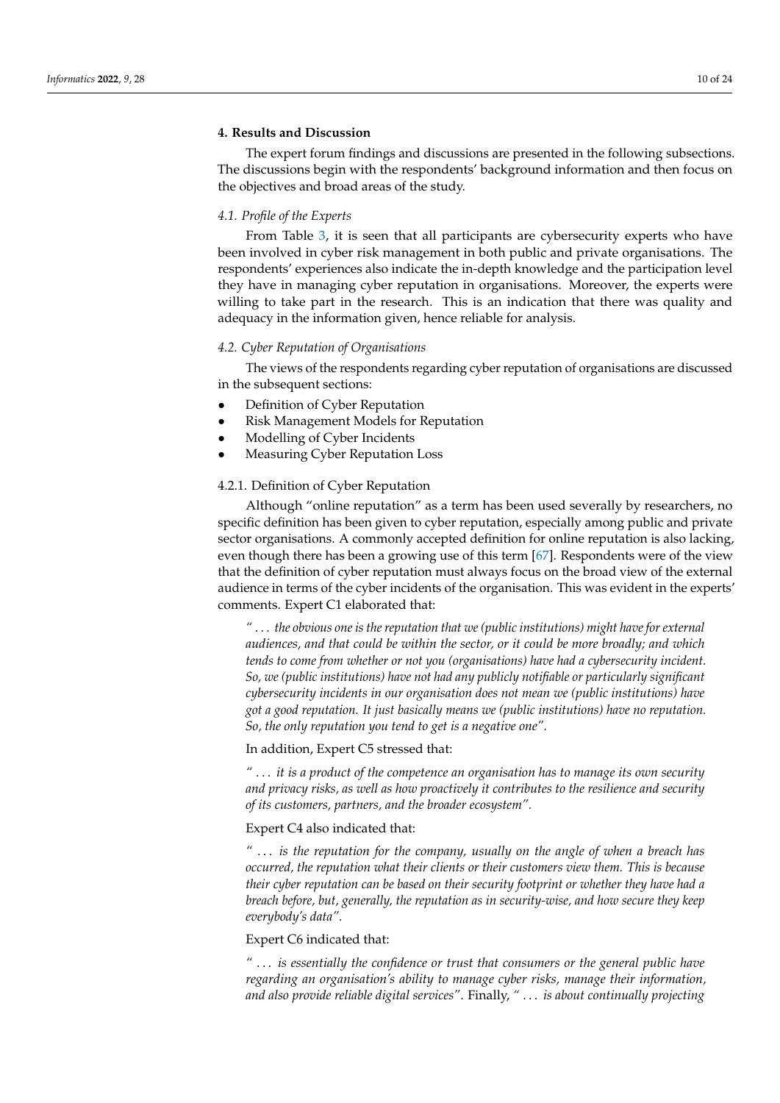# <span id="page-9-0"></span>**4. Results and Discussion**

The expert forum findings and discussions are presented in the following subsections. The discussions begin with the respondents' background information and then focus on the objectives and broad areas of the study.

## *4.1. Profile of the Experts*

From Table [3,](#page-8-0) it is seen that all participants are cybersecurity experts who have been involved in cyber risk management in both public and private organisations. The respondents' experiences also indicate the in-depth knowledge and the participation level they have in managing cyber reputation in organisations. Moreover, the experts were willing to take part in the research. This is an indication that there was quality and adequacy in the information given, hence reliable for analysis.

## *4.2. Cyber Reputation of Organisations*

The views of the respondents regarding cyber reputation of organisations are discussed in the subsequent sections:

- Definition of Cyber Reputation
- Risk Management Models for Reputation
- Modelling of Cyber Incidents
- Measuring Cyber Reputation Loss

## 4.2.1. Definition of Cyber Reputation

Although "online reputation" as a term has been used severally by researchers, no specific definition has been given to cyber reputation, especially among public and private sector organisations. A commonly accepted definition for online reputation is also lacking, even though there has been a growing use of this term [\[67\]](#page-21-12). Respondents were of the view that the definition of cyber reputation must always focus on the broad view of the external audience in terms of the cyber incidents of the organisation. This was evident in the experts' comments. Expert C1 elaborated that:

*"* . . . *the obvious one is the reputation that we (public institutions) might have for external audiences, and that could be within the sector, or it could be more broadly; and which tends to come from whether or not you (organisations) have had a cybersecurity incident. So, we (public institutions) have not had any publicly notifiable or particularly significant cybersecurity incidents in our organisation does not mean we (public institutions) have got a good reputation. It just basically means we (public institutions) have no reputation. So, the only reputation you tend to get is a negative one".*

In addition, Expert C5 stressed that:

*"* . . . *it is a product of the competence an organisation has to manage its own security and privacy risks, as well as how proactively it contributes to the resilience and security of its customers, partners, and the broader ecosystem".*

## Expert C4 also indicated that:

*"* . . . *is the reputation for the company, usually on the angle of when a breach has occurred, the reputation what their clients or their customers view them. This is because their cyber reputation can be based on their security footprint or whether they have had a breach before, but, generally, the reputation as in security-wise, and how secure they keep everybody's data".*

# Expert C6 indicated that:

*"* . . . *is essentially the confidence or trust that consumers or the general public have regarding an organisation's ability to manage cyber risks, manage their information, and also provide reliable digital services"*. Finally, *"* . . . *is about continually projecting*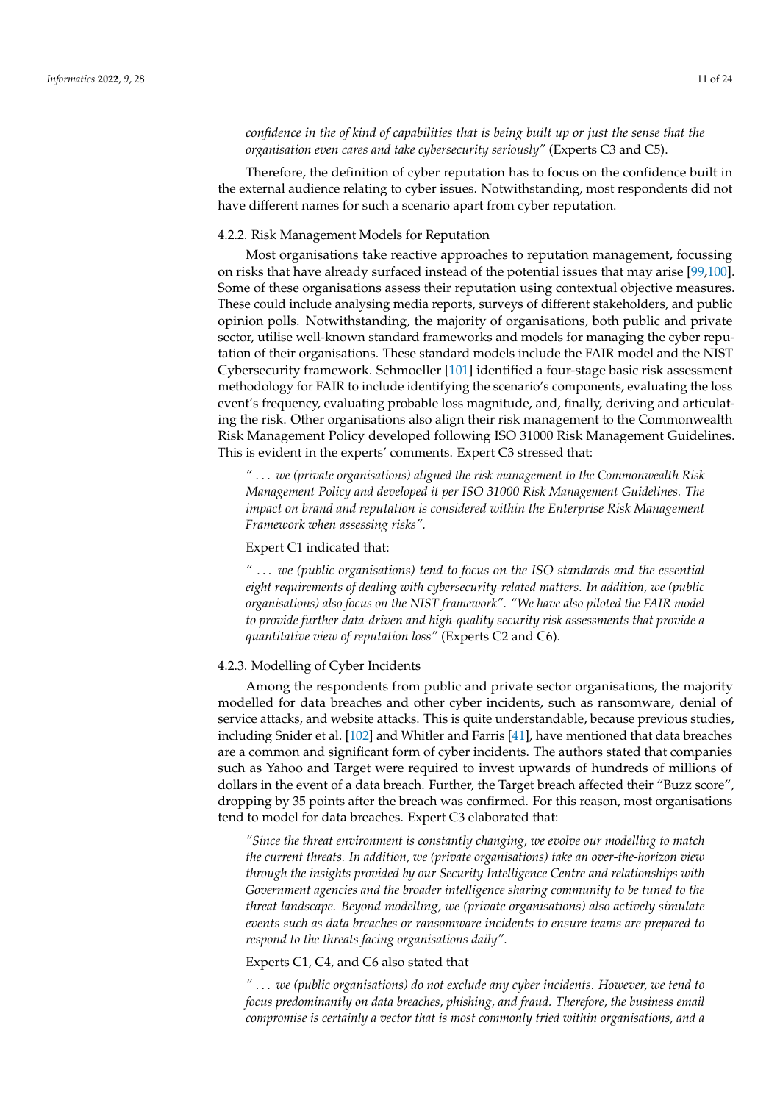*confidence in the of kind of capabilities that is being built up or just the sense that the organisation even cares and take cybersecurity seriously"* (Experts C3 and C5).

Therefore, the definition of cyber reputation has to focus on the confidence built in the external audience relating to cyber issues. Notwithstanding, most respondents did not have different names for such a scenario apart from cyber reputation.

# 4.2.2. Risk Management Models for Reputation

Most organisations take reactive approaches to reputation management, focussing on risks that have already surfaced instead of the potential issues that may arise [\[99,](#page-22-15)[100\]](#page-22-16). Some of these organisations assess their reputation using contextual objective measures. These could include analysing media reports, surveys of different stakeholders, and public opinion polls. Notwithstanding, the majority of organisations, both public and private sector, utilise well-known standard frameworks and models for managing the cyber reputation of their organisations. These standard models include the FAIR model and the NIST Cybersecurity framework. Schmoeller [\[101\]](#page-22-17) identified a four-stage basic risk assessment methodology for FAIR to include identifying the scenario's components, evaluating the loss event's frequency, evaluating probable loss magnitude, and, finally, deriving and articulating the risk. Other organisations also align their risk management to the Commonwealth Risk Management Policy developed following ISO 31000 Risk Management Guidelines. This is evident in the experts' comments. Expert C3 stressed that:

*"* . . . *we (private organisations) aligned the risk management to the Commonwealth Risk Management Policy and developed it per ISO 31000 Risk Management Guidelines. The impact on brand and reputation is considered within the Enterprise Risk Management Framework when assessing risks".*

## Expert C1 indicated that:

*"* . . . *we (public organisations) tend to focus on the ISO standards and the essential eight requirements of dealing with cybersecurity-related matters. In addition, we (public organisations) also focus on the NIST framework". "We have also piloted the FAIR model to provide further data-driven and high-quality security risk assessments that provide a quantitative view of reputation loss"* (Experts C2 and C6).

# 4.2.3. Modelling of Cyber Incidents

Among the respondents from public and private sector organisations, the majority modelled for data breaches and other cyber incidents, such as ransomware, denial of service attacks, and website attacks. This is quite understandable, because previous studies, including Snider et al. [\[102\]](#page-22-18) and Whitler and Farris [\[41\]](#page-20-15), have mentioned that data breaches are a common and significant form of cyber incidents. The authors stated that companies such as Yahoo and Target were required to invest upwards of hundreds of millions of dollars in the event of a data breach. Further, the Target breach affected their "Buzz score", dropping by 35 points after the breach was confirmed. For this reason, most organisations tend to model for data breaches. Expert C3 elaborated that:

*"Since the threat environment is constantly changing, we evolve our modelling to match the current threats. In addition, we (private organisations) take an over-the-horizon view through the insights provided by our Security Intelligence Centre and relationships with Government agencies and the broader intelligence sharing community to be tuned to the threat landscape. Beyond modelling, we (private organisations) also actively simulate events such as data breaches or ransomware incidents to ensure teams are prepared to respond to the threats facing organisations daily".*

#### Experts C1, C4, and C6 also stated that

*"* . . . *we (public organisations) do not exclude any cyber incidents. However, we tend to focus predominantly on data breaches, phishing, and fraud. Therefore, the business email compromise is certainly a vector that is most commonly tried within organisations, and a*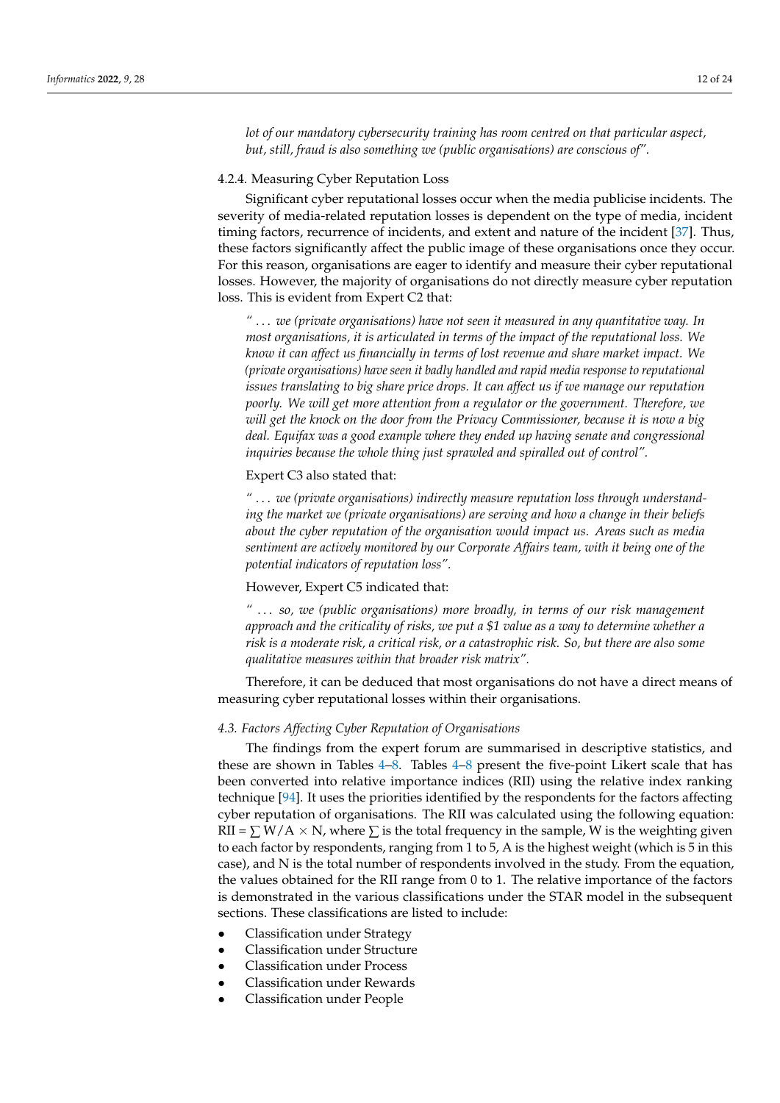*lot of our mandatory cybersecurity training has room centred on that particular aspect, but, still, fraud is also something we (public organisations) are conscious of".*

## 4.2.4. Measuring Cyber Reputation Loss

Significant cyber reputational losses occur when the media publicise incidents. The severity of media-related reputation losses is dependent on the type of media, incident timing factors, recurrence of incidents, and extent and nature of the incident [\[37\]](#page-20-12). Thus, these factors significantly affect the public image of these organisations once they occur. For this reason, organisations are eager to identify and measure their cyber reputational losses. However, the majority of organisations do not directly measure cyber reputation loss. This is evident from Expert C2 that:

*"* . . . *we (private organisations) have not seen it measured in any quantitative way. In most organisations, it is articulated in terms of the impact of the reputational loss. We know it can affect us financially in terms of lost revenue and share market impact. We (private organisations) have seen it badly handled and rapid media response to reputational issues translating to big share price drops. It can affect us if we manage our reputation poorly. We will get more attention from a regulator or the government. Therefore, we will get the knock on the door from the Privacy Commissioner, because it is now a big deal. Equifax was a good example where they ended up having senate and congressional inquiries because the whole thing just sprawled and spiralled out of control".*

## Expert C3 also stated that:

*"* . . . *we (private organisations) indirectly measure reputation loss through understanding the market we (private organisations) are serving and how a change in their beliefs about the cyber reputation of the organisation would impact us. Areas such as media sentiment are actively monitored by our Corporate Affairs team, with it being one of the potential indicators of reputation loss".*

## However, Expert C5 indicated that:

*"* . . . *so, we (public organisations) more broadly, in terms of our risk management approach and the criticality of risks, we put a \$1 value as a way to determine whether a risk is a moderate risk, a critical risk, or a catastrophic risk. So, but there are also some qualitative measures within that broader risk matrix".*

Therefore, it can be deduced that most organisations do not have a direct means of measuring cyber reputational losses within their organisations.

## *4.3. Factors Affecting Cyber Reputation of Organisations*

The findings from the expert forum are summarised in descriptive statistics, and these are shown in Tables [4](#page-12-0)[–8.](#page-13-0) Tables [4](#page-12-0)[–8](#page-13-0) present the five-point Likert scale that has been converted into relative importance indices (RII) using the relative index ranking technique [\[94\]](#page-22-10). It uses the priorities identified by the respondents for the factors affecting cyber reputation of organisations. The RII was calculated using the following equation: RII =  $\Sigma$  W/A  $\times$  N, where  $\Sigma$  is the total frequency in the sample, W is the weighting given to each factor by respondents, ranging from 1 to 5, A is the highest weight (which is 5 in this case), and N is the total number of respondents involved in the study. From the equation, the values obtained for the RII range from 0 to 1. The relative importance of the factors is demonstrated in the various classifications under the STAR model in the subsequent sections. These classifications are listed to include:

- Classification under Strategy
- Classification under Structure
- Classification under Process
- Classification under Rewards
- Classification under People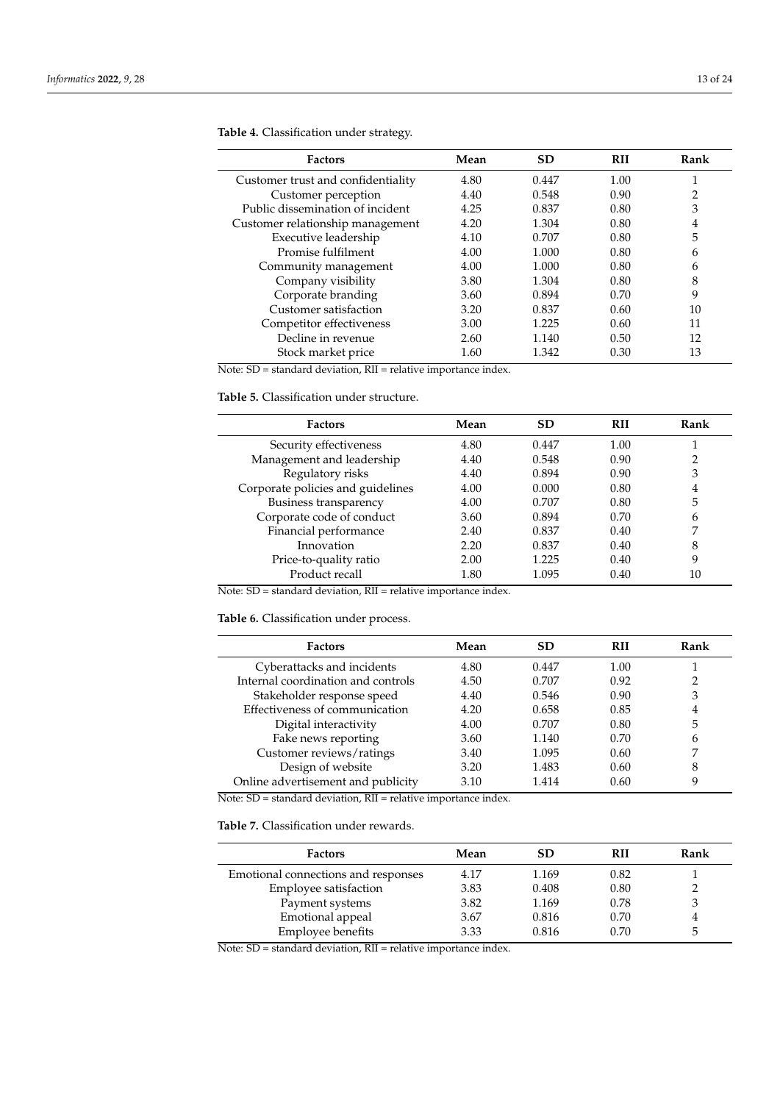| <b>Factors</b>                     | Mean | <b>SD</b> | <b>RII</b> | Rank |
|------------------------------------|------|-----------|------------|------|
| Customer trust and confidentiality | 4.80 | 0.447     | 1.00       |      |
| Customer perception                | 4.40 | 0.548     | 0.90       | 2    |
| Public dissemination of incident   | 4.25 | 0.837     | 0.80       | 3    |
| Customer relationship management   | 4.20 | 1.304     | 0.80       | 4    |
| Executive leadership               | 4.10 | 0.707     | 0.80       | 5    |
| Promise fulfilment                 | 4.00 | 1.000     | 0.80       | 6    |
| Community management               | 4.00 | 1.000     | 0.80       | 6    |
| Company visibility                 | 3.80 | 1.304     | 0.80       | 8    |
| Corporate branding                 | 3.60 | 0.894     | 0.70       | 9    |
| Customer satisfaction              | 3.20 | 0.837     | 0.60       | 10   |
| Competitor effectiveness           | 3.00 | 1.225     | 0.60       | 11   |
| Decline in revenue                 | 2.60 | 1.140     | 0.50       | 12   |
| Stock market price                 | 1.60 | 1.342     | 0.30       | 13   |

<span id="page-12-0"></span>**Table 4.** Classification under strategy.

Note: SD = standard deviation, RII = relative importance index.

<span id="page-12-1"></span>**Table 5.** Classification under structure.

| <b>Factors</b>                    | Mean | <b>SD</b> | <b>RII</b> | Rank          |
|-----------------------------------|------|-----------|------------|---------------|
| Security effectiveness            | 4.80 | 0.447     | 1.00       |               |
| Management and leadership         | 4.40 | 0.548     | 0.90       | $\mathcal{D}$ |
| Regulatory risks                  | 4.40 | 0.894     | 0.90       | 3             |
| Corporate policies and guidelines | 4.00 | 0.000     | 0.80       | 4             |
| Business transparency             | 4.00 | 0.707     | 0.80       | 5             |
| Corporate code of conduct         | 3.60 | 0.894     | 0.70       | 6             |
| Financial performance             | 2.40 | 0.837     | 0.40       | 7             |
| Innovation                        | 2.20 | 0.837     | 0.40       | 8             |
| Price-to-quality ratio            | 2.00 | 1.225     | 0.40       | 9             |
| Product recall                    | 1.80 | 1.095     | 0.40       | 10            |

Note: SD = standard deviation, RII = relative importance index.

<span id="page-12-2"></span>**Table 6.** Classification under process.

| <b>Factors</b>                     | Mean | <b>SD</b> | <b>RII</b> | Rank |
|------------------------------------|------|-----------|------------|------|
| Cyberattacks and incidents         | 4.80 | 0.447     | 1.00       |      |
| Internal coordination and controls | 4.50 | 0.707     | 0.92       | 2    |
| Stakeholder response speed         | 4.40 | 0.546     | 0.90       | 3    |
| Effectiveness of communication     | 4.20 | 0.658     | 0.85       | 4    |
| Digital interactivity              | 4.00 | 0.707     | 0.80       | 5    |
| Fake news reporting                | 3.60 | 1.140     | 0.70       | 6    |
| Customer reviews/ratings           | 3.40 | 1.095     | 0.60       |      |
| Design of website                  | 3.20 | 1.483     | 0.60       | 8    |
| Online advertisement and publicity | 3.10 | 1.414     | 0.60       | Q    |

Note: SD = standard deviation, RII = relative importance index.

<span id="page-12-3"></span>**Table 7.** Classification under rewards.

| <b>Factors</b>                      | Mean | <b>SD</b> | <b>RII</b> | Rank |
|-------------------------------------|------|-----------|------------|------|
| Emotional connections and responses | 4.17 | 1.169     | 0.82       |      |
| Employee satisfaction               | 3.83 | 0.408     | 0.80       |      |
| Payment systems                     | 3.82 | 1.169     | 0.78       |      |
| Emotional appeal                    | 3.67 | 0.816     | 0.70       |      |
| Employee benefits                   | 3.33 | 0.816     | 0.70       |      |

Note: SD = standard deviation, RII = relative importance index.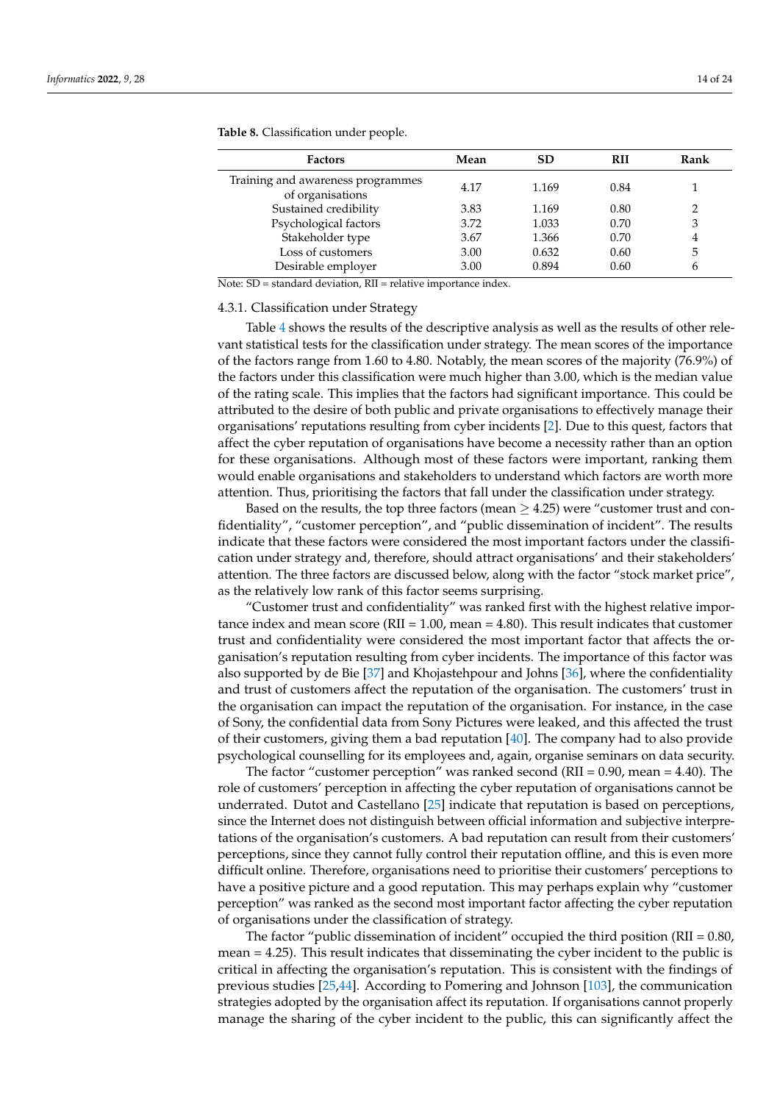| <b>Factors</b>                                        | Mean | SD    | <b>RII</b> | Rank |
|-------------------------------------------------------|------|-------|------------|------|
| Training and awareness programmes<br>of organisations | 4.17 | 1.169 | 0.84       |      |
| Sustained credibility                                 | 3.83 | 1.169 | 0.80       | 2    |
| Psychological factors                                 | 3.72 | 1.033 | 0.70       | 3    |
| Stakeholder type                                      | 3.67 | 1.366 | 0.70       | 4    |
| Loss of customers                                     | 3.00 | 0.632 | 0.60       | 5    |
| Desirable employer                                    | 3.00 | 0.894 | 0.60       | 6    |

<span id="page-13-0"></span>**Table 8.** Classification under people.

Note: SD = standard deviation, RII = relative importance index.

#### 4.3.1. Classification under Strategy

Table [4](#page-12-0) shows the results of the descriptive analysis as well as the results of other relevant statistical tests for the classification under strategy. The mean scores of the importance of the factors range from 1.60 to 4.80. Notably, the mean scores of the majority (76.9%) of the factors under this classification were much higher than 3.00, which is the median value of the rating scale. This implies that the factors had significant importance. This could be attributed to the desire of both public and private organisations to effectively manage their organisations' reputations resulting from cyber incidents [\[2\]](#page-19-1). Due to this quest, factors that affect the cyber reputation of organisations have become a necessity rather than an option for these organisations. Although most of these factors were important, ranking them would enable organisations and stakeholders to understand which factors are worth more attention. Thus, prioritising the factors that fall under the classification under strategy.

Based on the results, the top three factors (mean  $\geq$  4.25) were "customer trust and confidentiality", "customer perception", and "public dissemination of incident". The results indicate that these factors were considered the most important factors under the classification under strategy and, therefore, should attract organisations' and their stakeholders' attention. The three factors are discussed below, along with the factor "stock market price", as the relatively low rank of this factor seems surprising.

"Customer trust and confidentiality" was ranked first with the highest relative importance index and mean score (RII = 1.00, mean = 4.80). This result indicates that customer trust and confidentiality were considered the most important factor that affects the organisation's reputation resulting from cyber incidents. The importance of this factor was also supported by de Bie [\[37\]](#page-20-12) and Khojastehpour and Johns [\[36\]](#page-20-11), where the confidentiality and trust of customers affect the reputation of the organisation. The customers' trust in the organisation can impact the reputation of the organisation. For instance, in the case of Sony, the confidential data from Sony Pictures were leaked, and this affected the trust of their customers, giving them a bad reputation [\[40\]](#page-20-14). The company had to also provide psychological counselling for its employees and, again, organise seminars on data security.

The factor "customer perception" was ranked second ( $RII = 0.90$ , mean = 4.40). The role of customers' perception in affecting the cyber reputation of organisations cannot be underrated. Dutot and Castellano [\[25\]](#page-20-2) indicate that reputation is based on perceptions, since the Internet does not distinguish between official information and subjective interpretations of the organisation's customers. A bad reputation can result from their customers' perceptions, since they cannot fully control their reputation offline, and this is even more difficult online. Therefore, organisations need to prioritise their customers' perceptions to have a positive picture and a good reputation. This may perhaps explain why "customer perception" was ranked as the second most important factor affecting the cyber reputation of organisations under the classification of strategy.

The factor "public dissemination of incident" occupied the third position (RII = 0.80, mean = 4.25). This result indicates that disseminating the cyber incident to the public is critical in affecting the organisation's reputation. This is consistent with the findings of previous studies [\[25](#page-20-2)[,44\]](#page-20-18). According to Pomering and Johnson [\[103\]](#page-22-19), the communication strategies adopted by the organisation affect its reputation. If organisations cannot properly manage the sharing of the cyber incident to the public, this can significantly affect the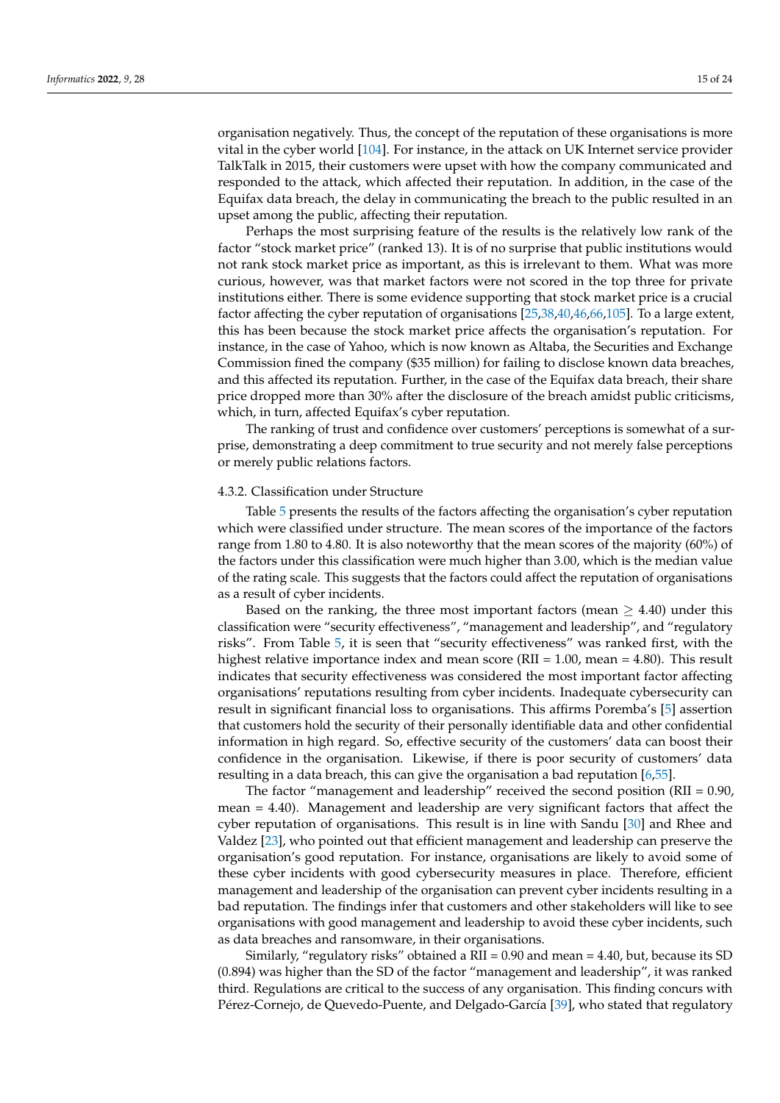organisation negatively. Thus, the concept of the reputation of these organisations is more vital in the cyber world [\[104\]](#page-22-20). For instance, in the attack on UK Internet service provider TalkTalk in 2015, their customers were upset with how the company communicated and responded to the attack, which affected their reputation. In addition, in the case of the Equifax data breach, the delay in communicating the breach to the public resulted in an upset among the public, affecting their reputation.

Perhaps the most surprising feature of the results is the relatively low rank of the factor "stock market price" (ranked 13). It is of no surprise that public institutions would not rank stock market price as important, as this is irrelevant to them. What was more curious, however, was that market factors were not scored in the top three for private institutions either. There is some evidence supporting that stock market price is a crucial factor affecting the cyber reputation of organisations [\[25,](#page-20-2)[38,](#page-20-19)[40,](#page-20-14)[46](#page-20-28)[,66](#page-21-11)[,105\]](#page-22-21). To a large extent, this has been because the stock market price affects the organisation's reputation. For instance, in the case of Yahoo, which is now known as Altaba, the Securities and Exchange Commission fined the company (\$35 million) for failing to disclose known data breaches, and this affected its reputation. Further, in the case of the Equifax data breach, their share price dropped more than 30% after the disclosure of the breach amidst public criticisms, which, in turn, affected Equifax's cyber reputation.

The ranking of trust and confidence over customers' perceptions is somewhat of a surprise, demonstrating a deep commitment to true security and not merely false perceptions or merely public relations factors.

## 4.3.2. Classification under Structure

Table [5](#page-12-1) presents the results of the factors affecting the organisation's cyber reputation which were classified under structure. The mean scores of the importance of the factors range from 1.80 to 4.80. It is also noteworthy that the mean scores of the majority (60%) of the factors under this classification were much higher than 3.00, which is the median value of the rating scale. This suggests that the factors could affect the reputation of organisations as a result of cyber incidents.

Based on the ranking, the three most important factors (mean  $\geq 4.40$ ) under this classification were "security effectiveness", "management and leadership", and "regulatory risks". From Table [5,](#page-12-1) it is seen that "security effectiveness" was ranked first, with the highest relative importance index and mean score (RII = 1.00, mean = 4.80). This result indicates that security effectiveness was considered the most important factor affecting organisations' reputations resulting from cyber incidents. Inadequate cybersecurity can result in significant financial loss to organisations. This affirms Poremba's [\[5\]](#page-19-4) assertion that customers hold the security of their personally identifiable data and other confidential information in high regard. So, effective security of the customers' data can boost their confidence in the organisation. Likewise, if there is poor security of customers' data resulting in a data breach, this can give the organisation a bad reputation [\[6,](#page-19-5)[55\]](#page-21-0).

The factor "management and leadership" received the second position (RII = 0.90, mean = 4.40). Management and leadership are very significant factors that affect the cyber reputation of organisations. This result is in line with Sandu [\[30\]](#page-20-6) and Rhee and Valdez [\[23\]](#page-20-0), who pointed out that efficient management and leadership can preserve the organisation's good reputation. For instance, organisations are likely to avoid some of these cyber incidents with good cybersecurity measures in place. Therefore, efficient management and leadership of the organisation can prevent cyber incidents resulting in a bad reputation. The findings infer that customers and other stakeholders will like to see organisations with good management and leadership to avoid these cyber incidents, such as data breaches and ransomware, in their organisations.

Similarly, "regulatory risks" obtained a RII = 0.90 and mean = 4.40, but, because its SD (0.894) was higher than the SD of the factor "management and leadership", it was ranked third. Regulations are critical to the success of any organisation. This finding concurs with Pérez-Cornejo, de Quevedo-Puente, and Delgado-García [\[39\]](#page-20-13), who stated that regulatory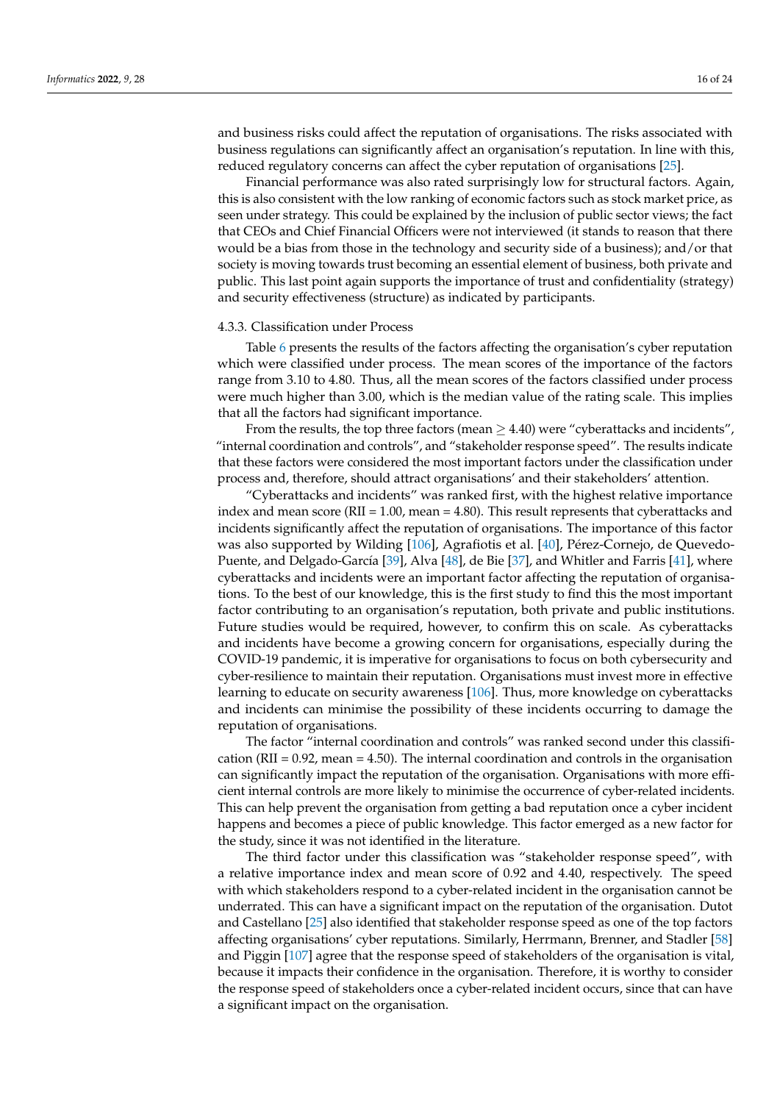and business risks could affect the reputation of organisations. The risks associated with business regulations can significantly affect an organisation's reputation. In line with this, reduced regulatory concerns can affect the cyber reputation of organisations [\[25\]](#page-20-2).

Financial performance was also rated surprisingly low for structural factors. Again, this is also consistent with the low ranking of economic factors such as stock market price, as seen under strategy. This could be explained by the inclusion of public sector views; the fact that CEOs and Chief Financial Officers were not interviewed (it stands to reason that there would be a bias from those in the technology and security side of a business); and/or that society is moving towards trust becoming an essential element of business, both private and public. This last point again supports the importance of trust and confidentiality (strategy) and security effectiveness (structure) as indicated by participants.

#### 4.3.3. Classification under Process

Table [6](#page-12-2) presents the results of the factors affecting the organisation's cyber reputation which were classified under process. The mean scores of the importance of the factors range from 3.10 to 4.80. Thus, all the mean scores of the factors classified under process were much higher than 3.00, which is the median value of the rating scale. This implies that all the factors had significant importance.

From the results, the top three factors (mean  $\geq$  4.40) were "cyberattacks and incidents", "internal coordination and controls", and "stakeholder response speed". The results indicate that these factors were considered the most important factors under the classification under process and, therefore, should attract organisations' and their stakeholders' attention.

"Cyberattacks and incidents" was ranked first, with the highest relative importance index and mean score ( $RII = 1.00$ , mean = 4.80). This result represents that cyberattacks and incidents significantly affect the reputation of organisations. The importance of this factor was also supported by Wilding [\[106\]](#page-22-22), Agrafiotis et al. [\[40\]](#page-20-14), Pérez-Cornejo, de Quevedo-Puente, and Delgado-García [\[39\]](#page-20-13), Alva [\[48\]](#page-20-22), de Bie [\[37\]](#page-20-12), and Whitler and Farris [\[41\]](#page-20-15), where cyberattacks and incidents were an important factor affecting the reputation of organisations. To the best of our knowledge, this is the first study to find this the most important factor contributing to an organisation's reputation, both private and public institutions. Future studies would be required, however, to confirm this on scale. As cyberattacks and incidents have become a growing concern for organisations, especially during the COVID-19 pandemic, it is imperative for organisations to focus on both cybersecurity and cyber-resilience to maintain their reputation. Organisations must invest more in effective learning to educate on security awareness [\[106\]](#page-22-22). Thus, more knowledge on cyberattacks and incidents can minimise the possibility of these incidents occurring to damage the reputation of organisations.

The factor "internal coordination and controls" was ranked second under this classification (RII =  $0.92$ , mean =  $4.50$ ). The internal coordination and controls in the organisation can significantly impact the reputation of the organisation. Organisations with more efficient internal controls are more likely to minimise the occurrence of cyber-related incidents. This can help prevent the organisation from getting a bad reputation once a cyber incident happens and becomes a piece of public knowledge. This factor emerged as a new factor for the study, since it was not identified in the literature.

The third factor under this classification was "stakeholder response speed", with a relative importance index and mean score of 0.92 and 4.40, respectively. The speed with which stakeholders respond to a cyber-related incident in the organisation cannot be underrated. This can have a significant impact on the reputation of the organisation. Dutot and Castellano [\[25\]](#page-20-2) also identified that stakeholder response speed as one of the top factors affecting organisations' cyber reputations. Similarly, Herrmann, Brenner, and Stadler [\[58\]](#page-21-3) and Piggin [\[107\]](#page-22-23) agree that the response speed of stakeholders of the organisation is vital, because it impacts their confidence in the organisation. Therefore, it is worthy to consider the response speed of stakeholders once a cyber-related incident occurs, since that can have a significant impact on the organisation.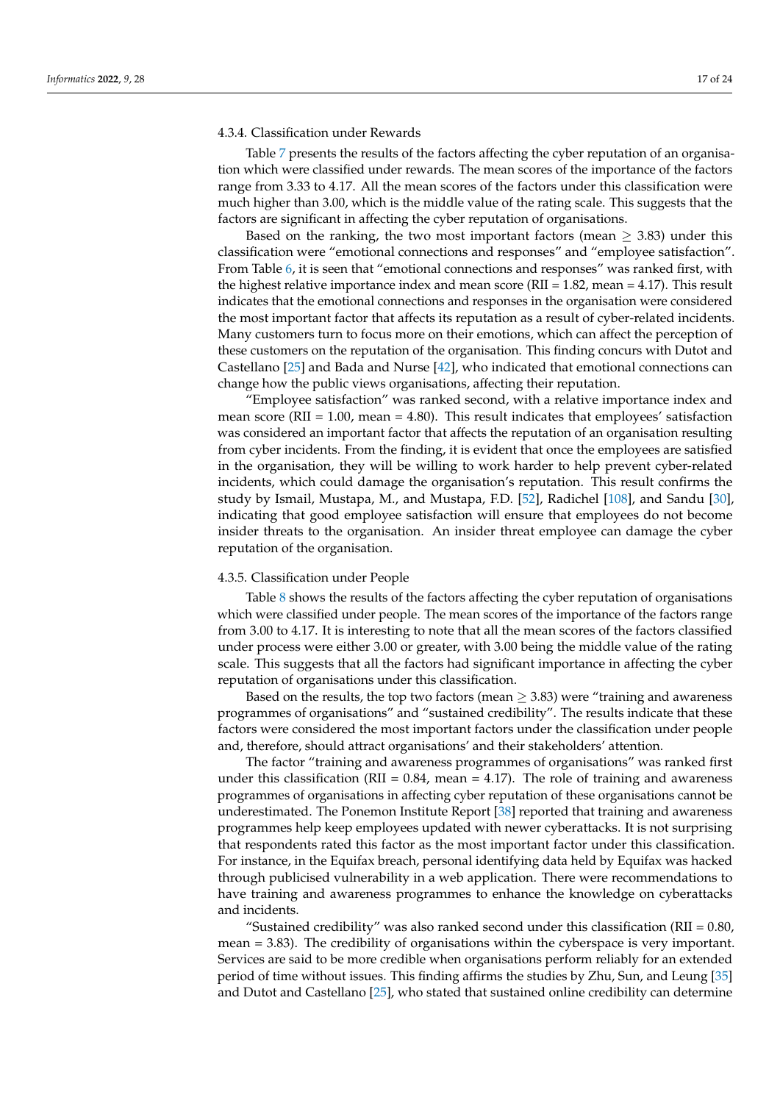# 4.3.4. Classification under Rewards

Table [7](#page-12-3) presents the results of the factors affecting the cyber reputation of an organisation which were classified under rewards. The mean scores of the importance of the factors range from 3.33 to 4.17. All the mean scores of the factors under this classification were much higher than 3.00, which is the middle value of the rating scale. This suggests that the factors are significant in affecting the cyber reputation of organisations.

Based on the ranking, the two most important factors (mean  $\geq$  3.83) under this classification were "emotional connections and responses" and "employee satisfaction". From Table [6,](#page-12-2) it is seen that "emotional connections and responses" was ranked first, with the highest relative importance index and mean score (RII = 1.82, mean = 4.17). This result indicates that the emotional connections and responses in the organisation were considered the most important factor that affects its reputation as a result of cyber-related incidents. Many customers turn to focus more on their emotions, which can affect the perception of these customers on the reputation of the organisation. This finding concurs with Dutot and Castellano [\[25\]](#page-20-2) and Bada and Nurse [\[42\]](#page-20-16), who indicated that emotional connections can change how the public views organisations, affecting their reputation.

"Employee satisfaction" was ranked second, with a relative importance index and mean score ( $RII = 1.00$ , mean = 4.80). This result indicates that employees' satisfaction was considered an important factor that affects the reputation of an organisation resulting from cyber incidents. From the finding, it is evident that once the employees are satisfied in the organisation, they will be willing to work harder to help prevent cyber-related incidents, which could damage the organisation's reputation. This result confirms the study by Ismail, Mustapa, M., and Mustapa, F.D. [\[52\]](#page-20-25), Radichel [\[108\]](#page-22-24), and Sandu [\[30\]](#page-20-6), indicating that good employee satisfaction will ensure that employees do not become insider threats to the organisation. An insider threat employee can damage the cyber reputation of the organisation.

## 4.3.5. Classification under People

Table [8](#page-13-0) shows the results of the factors affecting the cyber reputation of organisations which were classified under people. The mean scores of the importance of the factors range from 3.00 to 4.17. It is interesting to note that all the mean scores of the factors classified under process were either 3.00 or greater, with 3.00 being the middle value of the rating scale. This suggests that all the factors had significant importance in affecting the cyber reputation of organisations under this classification.

Based on the results, the top two factors (mean  $\geq$  3.83) were "training and awareness programmes of organisations" and "sustained credibility". The results indicate that these factors were considered the most important factors under the classification under people and, therefore, should attract organisations' and their stakeholders' attention.

The factor "training and awareness programmes of organisations" was ranked first under this classification (RII =  $0.84$ , mean = 4.17). The role of training and awareness programmes of organisations in affecting cyber reputation of these organisations cannot be underestimated. The Ponemon Institute Report [\[38\]](#page-20-19) reported that training and awareness programmes help keep employees updated with newer cyberattacks. It is not surprising that respondents rated this factor as the most important factor under this classification. For instance, in the Equifax breach, personal identifying data held by Equifax was hacked through publicised vulnerability in a web application. There were recommendations to have training and awareness programmes to enhance the knowledge on cyberattacks and incidents.

"Sustained credibility" was also ranked second under this classification ( $RII = 0.80$ , mean = 3.83). The credibility of organisations within the cyberspace is very important. Services are said to be more credible when organisations perform reliably for an extended period of time without issues. This finding affirms the studies by Zhu, Sun, and Leung [\[35\]](#page-20-10) and Dutot and Castellano [\[25\]](#page-20-2), who stated that sustained online credibility can determine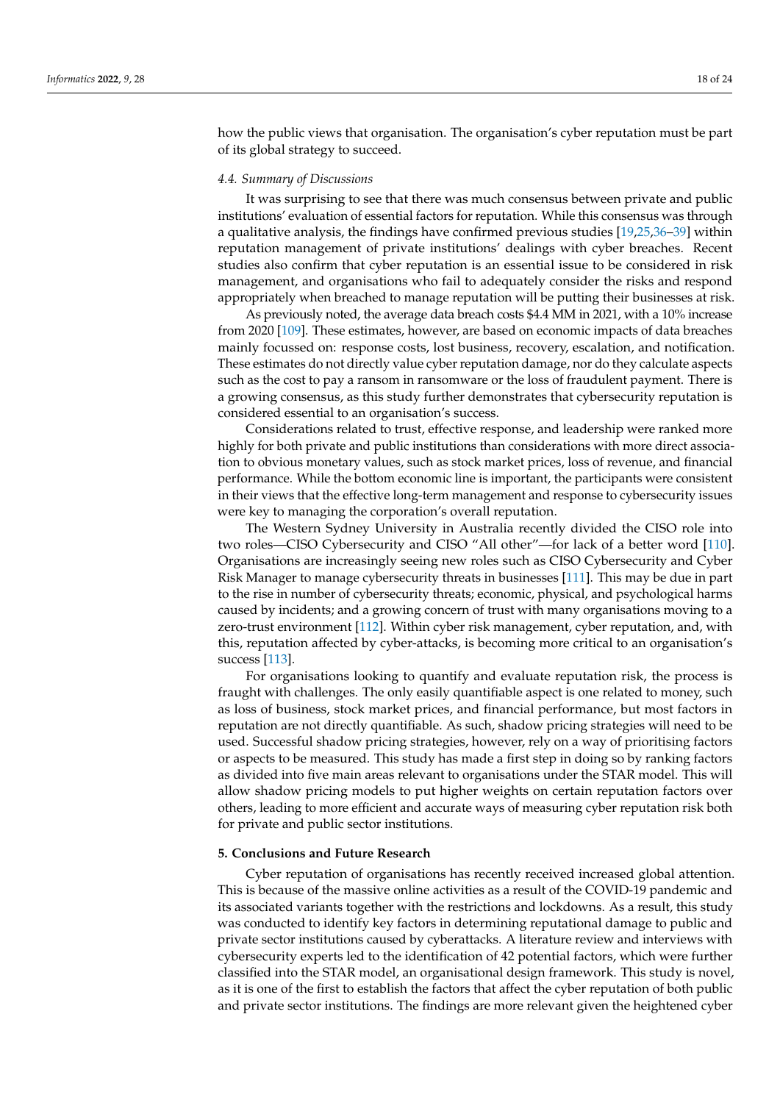how the public views that organisation. The organisation's cyber reputation must be part of its global strategy to succeed.

## *4.4. Summary of Discussions*

It was surprising to see that there was much consensus between private and public institutions' evaluation of essential factors for reputation. While this consensus was through a qualitative analysis, the findings have confirmed previous studies [\[19](#page-19-17)[,25](#page-20-2)[,36–](#page-20-11)[39\]](#page-20-13) within reputation management of private institutions' dealings with cyber breaches. Recent studies also confirm that cyber reputation is an essential issue to be considered in risk management, and organisations who fail to adequately consider the risks and respond appropriately when breached to manage reputation will be putting their businesses at risk.

As previously noted, the average data breach costs \$4.4 MM in 2021, with a 10% increase from 2020 [\[109\]](#page-22-25). These estimates, however, are based on economic impacts of data breaches mainly focussed on: response costs, lost business, recovery, escalation, and notification. These estimates do not directly value cyber reputation damage, nor do they calculate aspects such as the cost to pay a ransom in ransomware or the loss of fraudulent payment. There is a growing consensus, as this study further demonstrates that cybersecurity reputation is considered essential to an organisation's success.

Considerations related to trust, effective response, and leadership were ranked more highly for both private and public institutions than considerations with more direct association to obvious monetary values, such as stock market prices, loss of revenue, and financial performance. While the bottom economic line is important, the participants were consistent in their views that the effective long-term management and response to cybersecurity issues were key to managing the corporation's overall reputation.

The Western Sydney University in Australia recently divided the CISO role into two roles—CISO Cybersecurity and CISO "All other"—for lack of a better word [\[110\]](#page-22-26). Organisations are increasingly seeing new roles such as CISO Cybersecurity and Cyber Risk Manager to manage cybersecurity threats in businesses [\[111\]](#page-22-27). This may be due in part to the rise in number of cybersecurity threats; economic, physical, and psychological harms caused by incidents; and a growing concern of trust with many organisations moving to a zero-trust environment [\[112\]](#page-23-0). Within cyber risk management, cyber reputation, and, with this, reputation affected by cyber-attacks, is becoming more critical to an organisation's success [\[113\]](#page-23-1).

For organisations looking to quantify and evaluate reputation risk, the process is fraught with challenges. The only easily quantifiable aspect is one related to money, such as loss of business, stock market prices, and financial performance, but most factors in reputation are not directly quantifiable. As such, shadow pricing strategies will need to be used. Successful shadow pricing strategies, however, rely on a way of prioritising factors or aspects to be measured. This study has made a first step in doing so by ranking factors as divided into five main areas relevant to organisations under the STAR model. This will allow shadow pricing models to put higher weights on certain reputation factors over others, leading to more efficient and accurate ways of measuring cyber reputation risk both for private and public sector institutions.

# <span id="page-17-0"></span>**5. Conclusions and Future Research**

Cyber reputation of organisations has recently received increased global attention. This is because of the massive online activities as a result of the COVID-19 pandemic and its associated variants together with the restrictions and lockdowns. As a result, this study was conducted to identify key factors in determining reputational damage to public and private sector institutions caused by cyberattacks. A literature review and interviews with cybersecurity experts led to the identification of 42 potential factors, which were further classified into the STAR model, an organisational design framework. This study is novel, as it is one of the first to establish the factors that affect the cyber reputation of both public and private sector institutions. The findings are more relevant given the heightened cyber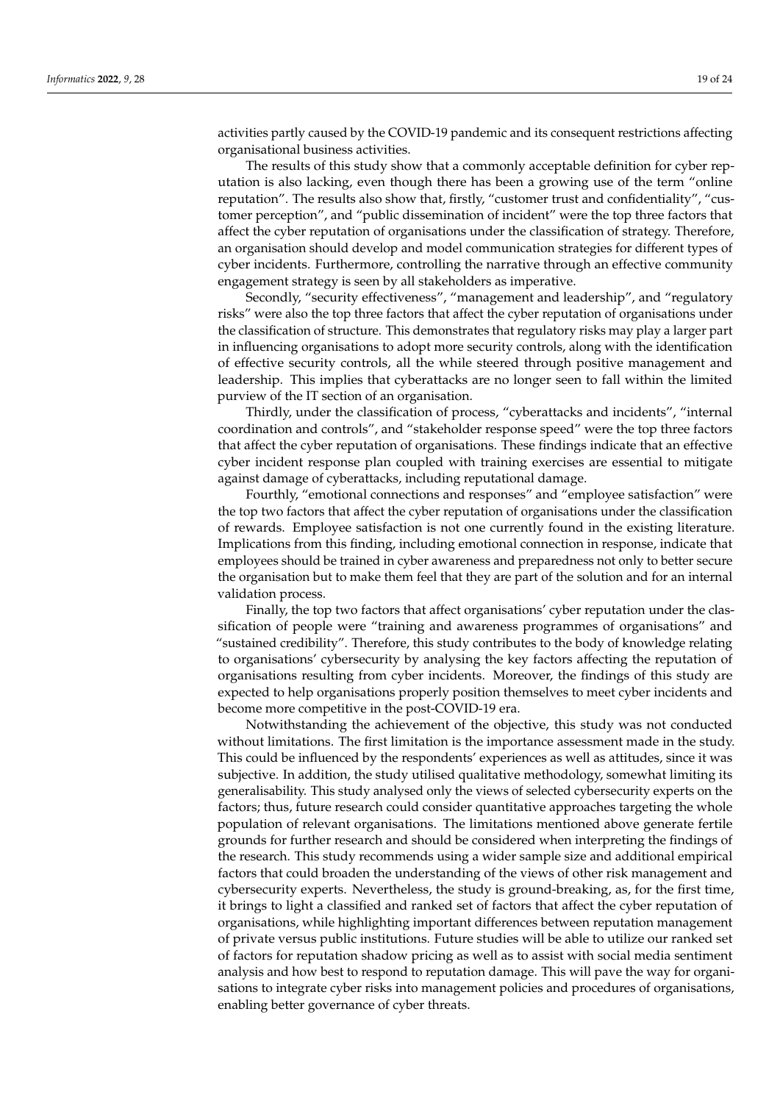activities partly caused by the COVID-19 pandemic and its consequent restrictions affecting organisational business activities.

The results of this study show that a commonly acceptable definition for cyber reputation is also lacking, even though there has been a growing use of the term "online reputation". The results also show that, firstly, "customer trust and confidentiality", "customer perception", and "public dissemination of incident" were the top three factors that affect the cyber reputation of organisations under the classification of strategy. Therefore, an organisation should develop and model communication strategies for different types of cyber incidents. Furthermore, controlling the narrative through an effective community engagement strategy is seen by all stakeholders as imperative.

Secondly, "security effectiveness", "management and leadership", and "regulatory risks" were also the top three factors that affect the cyber reputation of organisations under the classification of structure. This demonstrates that regulatory risks may play a larger part in influencing organisations to adopt more security controls, along with the identification of effective security controls, all the while steered through positive management and leadership. This implies that cyberattacks are no longer seen to fall within the limited purview of the IT section of an organisation.

Thirdly, under the classification of process, "cyberattacks and incidents", "internal coordination and controls", and "stakeholder response speed" were the top three factors that affect the cyber reputation of organisations. These findings indicate that an effective cyber incident response plan coupled with training exercises are essential to mitigate against damage of cyberattacks, including reputational damage.

Fourthly, "emotional connections and responses" and "employee satisfaction" were the top two factors that affect the cyber reputation of organisations under the classification of rewards. Employee satisfaction is not one currently found in the existing literature. Implications from this finding, including emotional connection in response, indicate that employees should be trained in cyber awareness and preparedness not only to better secure the organisation but to make them feel that they are part of the solution and for an internal validation process.

Finally, the top two factors that affect organisations' cyber reputation under the classification of people were "training and awareness programmes of organisations" and "sustained credibility". Therefore, this study contributes to the body of knowledge relating to organisations' cybersecurity by analysing the key factors affecting the reputation of organisations resulting from cyber incidents. Moreover, the findings of this study are expected to help organisations properly position themselves to meet cyber incidents and become more competitive in the post-COVID-19 era.

Notwithstanding the achievement of the objective, this study was not conducted without limitations. The first limitation is the importance assessment made in the study. This could be influenced by the respondents' experiences as well as attitudes, since it was subjective. In addition, the study utilised qualitative methodology, somewhat limiting its generalisability. This study analysed only the views of selected cybersecurity experts on the factors; thus, future research could consider quantitative approaches targeting the whole population of relevant organisations. The limitations mentioned above generate fertile grounds for further research and should be considered when interpreting the findings of the research. This study recommends using a wider sample size and additional empirical factors that could broaden the understanding of the views of other risk management and cybersecurity experts. Nevertheless, the study is ground-breaking, as, for the first time, it brings to light a classified and ranked set of factors that affect the cyber reputation of organisations, while highlighting important differences between reputation management of private versus public institutions. Future studies will be able to utilize our ranked set of factors for reputation shadow pricing as well as to assist with social media sentiment analysis and how best to respond to reputation damage. This will pave the way for organisations to integrate cyber risks into management policies and procedures of organisations, enabling better governance of cyber threats.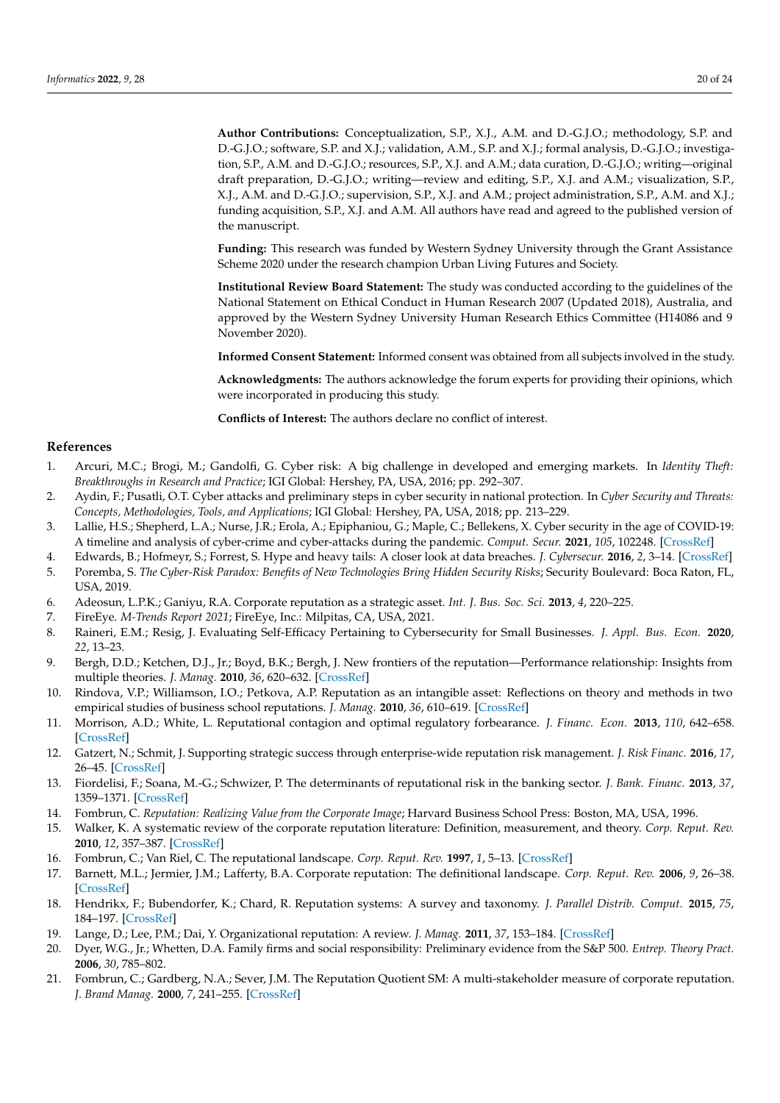**Author Contributions:** Conceptualization, S.P., X.J., A.M. and D.-G.J.O.; methodology, S.P. and D.-G.J.O.; software, S.P. and X.J.; validation, A.M., S.P. and X.J.; formal analysis, D.-G.J.O.; investigation, S.P., A.M. and D.-G.J.O.; resources, S.P., X.J. and A.M.; data curation, D.-G.J.O.; writing—original draft preparation, D.-G.J.O.; writing—review and editing, S.P., X.J. and A.M.; visualization, S.P., X.J., A.M. and D.-G.J.O.; supervision, S.P., X.J. and A.M.; project administration, S.P., A.M. and X.J.; funding acquisition, S.P., X.J. and A.M. All authors have read and agreed to the published version of the manuscript.

**Funding:** This research was funded by Western Sydney University through the Grant Assistance Scheme 2020 under the research champion Urban Living Futures and Society.

**Institutional Review Board Statement:** The study was conducted according to the guidelines of the National Statement on Ethical Conduct in Human Research 2007 (Updated 2018), Australia, and approved by the Western Sydney University Human Research Ethics Committee (H14086 and 9 November 2020).

**Informed Consent Statement:** Informed consent was obtained from all subjects involved in the study.

**Acknowledgments:** The authors acknowledge the forum experts for providing their opinions, which were incorporated in producing this study.

**Conflicts of Interest:** The authors declare no conflict of interest.

# **References**

- <span id="page-19-0"></span>1. Arcuri, M.C.; Brogi, M.; Gandolfi, G. Cyber risk: A big challenge in developed and emerging markets. In *Identity Theft: Breakthroughs in Research and Practice*; IGI Global: Hershey, PA, USA, 2016; pp. 292–307.
- <span id="page-19-1"></span>2. Aydin, F.; Pusatli, O.T. Cyber attacks and preliminary steps in cyber security in national protection. In *Cyber Security and Threats: Concepts, Methodologies, Tools, and Applications*; IGI Global: Hershey, PA, USA, 2018; pp. 213–229.
- <span id="page-19-2"></span>3. Lallie, H.S.; Shepherd, L.A.; Nurse, J.R.; Erola, A.; Epiphaniou, G.; Maple, C.; Bellekens, X. Cyber security in the age of COVID-19: A timeline and analysis of cyber-crime and cyber-attacks during the pandemic. *Comput. Secur.* **2021**, *105*, 102248. [\[CrossRef\]](http://doi.org/10.1016/j.cose.2021.102248)
- <span id="page-19-3"></span>4. Edwards, B.; Hofmeyr, S.; Forrest, S. Hype and heavy tails: A closer look at data breaches. *J. Cybersecur.* **2016**, *2*, 3–14. [\[CrossRef\]](http://doi.org/10.1093/cybsec/tyw003)
- <span id="page-19-4"></span>5. Poremba, S. *The Cyber-Risk Paradox: Benefits of New Technologies Bring Hidden Security Risks*; Security Boulevard: Boca Raton, FL, USA, 2019.
- <span id="page-19-5"></span>6. Adeosun, L.P.K.; Ganiyu, R.A. Corporate reputation as a strategic asset. *Int. J. Bus. Soc. Sci.* **2013**, *4*, 220–225.
- <span id="page-19-6"></span>7. FireEye. *M-Trends Report 2021*; FireEye, Inc.: Milpitas, CA, USA, 2021.
- <span id="page-19-7"></span>8. Raineri, E.M.; Resig, J. Evaluating Self-Efficacy Pertaining to Cybersecurity for Small Businesses. *J. Appl. Bus. Econ.* **2020**, *22*, 13–23.
- <span id="page-19-8"></span>9. Bergh, D.D.; Ketchen, D.J., Jr.; Boyd, B.K.; Bergh, J. New frontiers of the reputation—Performance relationship: Insights from multiple theories. *J. Manag.* **2010**, *36*, 620–632. [\[CrossRef\]](http://doi.org/10.1177/0149206309355320)
- 10. Rindova, V.P.; Williamson, I.O.; Petkova, A.P. Reputation as an intangible asset: Reflections on theory and methods in two empirical studies of business school reputations. *J. Manag.* **2010**, *36*, 610–619. [\[CrossRef\]](http://doi.org/10.1177/0149206309343208)
- <span id="page-19-9"></span>11. Morrison, A.D.; White, L. Reputational contagion and optimal regulatory forbearance. *J. Financ. Econ.* **2013**, *110*, 642–658. [\[CrossRef\]](http://doi.org/10.1016/j.jfineco.2013.08.011)
- <span id="page-19-10"></span>12. Gatzert, N.; Schmit, J. Supporting strategic success through enterprise-wide reputation risk management. *J. Risk Financ.* **2016**, *17*, 26–45. [\[CrossRef\]](http://doi.org/10.1108/JRF-09-2015-0083)
- <span id="page-19-11"></span>13. Fiordelisi, F.; Soana, M.-G.; Schwizer, P. The determinants of reputational risk in the banking sector. *J. Bank. Financ.* **2013**, *37*, 1359–1371. [\[CrossRef\]](http://doi.org/10.1016/j.jbankfin.2012.04.021)
- <span id="page-19-12"></span>14. Fombrun, C. *Reputation: Realizing Value from the Corporate Image*; Harvard Business School Press: Boston, MA, USA, 1996.
- <span id="page-19-13"></span>15. Walker, K. A systematic review of the corporate reputation literature: Definition, measurement, and theory. *Corp. Reput. Rev.* **2010**, *12*, 357–387. [\[CrossRef\]](http://doi.org/10.1057/crr.2009.26)
- <span id="page-19-14"></span>16. Fombrun, C.; Van Riel, C. The reputational landscape. *Corp. Reput. Rev.* **1997**, *1*, 5–13. [\[CrossRef\]](http://doi.org/10.1057/palgrave.crr.1540008)
- <span id="page-19-15"></span>17. Barnett, M.L.; Jermier, J.M.; Lafferty, B.A. Corporate reputation: The definitional landscape. *Corp. Reput. Rev.* **2006**, *9*, 26–38. [\[CrossRef\]](http://doi.org/10.1057/palgrave.crr.1550012)
- <span id="page-19-16"></span>18. Hendrikx, F.; Bubendorfer, K.; Chard, R. Reputation systems: A survey and taxonomy. *J. Parallel Distrib. Comput.* **2015**, *75*, 184–197. [\[CrossRef\]](http://doi.org/10.1016/j.jpdc.2014.08.004)
- <span id="page-19-17"></span>19. Lange, D.; Lee, P.M.; Dai, Y. Organizational reputation: A review. *J. Manag.* **2011**, *37*, 153–184. [\[CrossRef\]](http://doi.org/10.1177/0149206310390963)
- <span id="page-19-18"></span>20. Dyer, W.G., Jr.; Whetten, D.A. Family firms and social responsibility: Preliminary evidence from the S&P 500. *Entrep. Theory Pract.* **2006**, *30*, 785–802.
- <span id="page-19-19"></span>21. Fombrun, C.; Gardberg, N.A.; Sever, J.M. The Reputation Quotient SM: A multi-stakeholder measure of corporate reputation. *J. Brand Manag.* **2000**, *7*, 241–255. [\[CrossRef\]](http://doi.org/10.1057/bm.2000.10)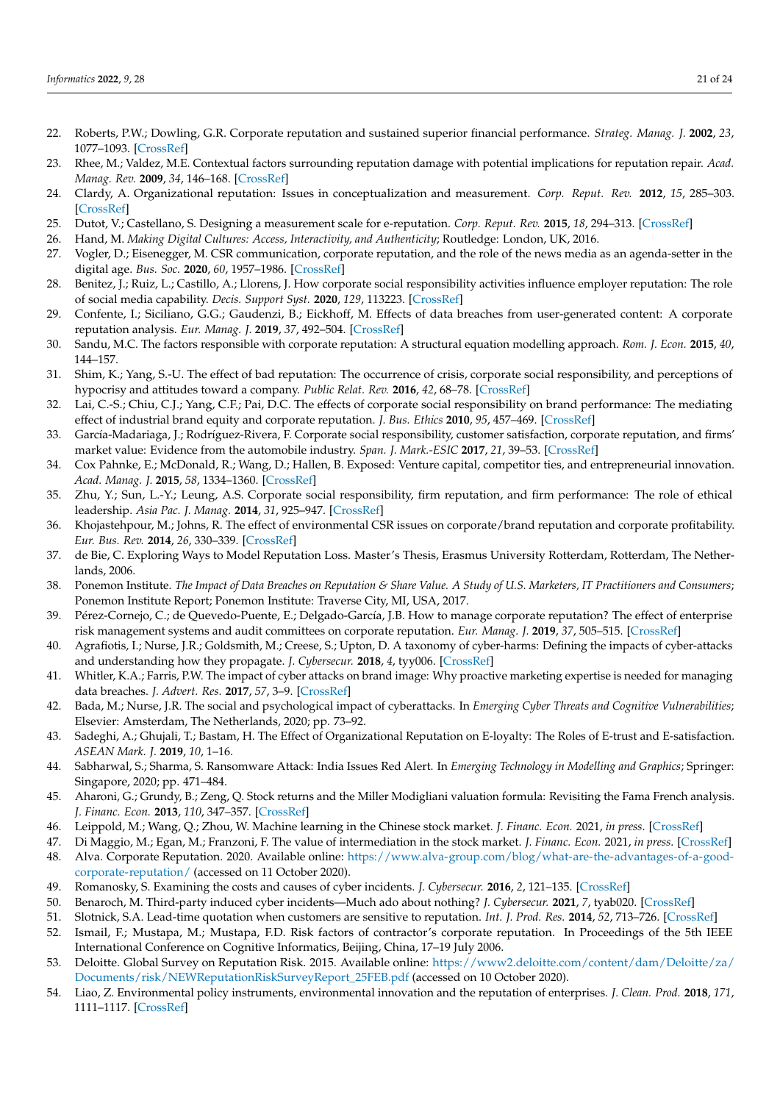- 22. Roberts, P.W.; Dowling, G.R. Corporate reputation and sustained superior financial performance. *Strateg. Manag. J.* **2002**, *23*, 1077–1093. [\[CrossRef\]](http://doi.org/10.1002/smj.274)
- <span id="page-20-0"></span>23. Rhee, M.; Valdez, M.E. Contextual factors surrounding reputation damage with potential implications for reputation repair. *Acad. Manag. Rev.* **2009**, *34*, 146–168. [\[CrossRef\]](http://doi.org/10.5465/amr.2009.35713324)
- <span id="page-20-1"></span>24. Clardy, A. Organizational reputation: Issues in conceptualization and measurement. *Corp. Reput. Rev.* **2012**, *15*, 285–303. [\[CrossRef\]](http://doi.org/10.1057/crr.2012.17)
- <span id="page-20-2"></span>25. Dutot, V.; Castellano, S. Designing a measurement scale for e-reputation. *Corp. Reput. Rev.* **2015**, *18*, 294–313. [\[CrossRef\]](http://doi.org/10.1057/crr.2015.15)
- 26. Hand, M. *Making Digital Cultures: Access, Interactivity, and Authenticity*; Routledge: London, UK, 2016.
- 27. Vogler, D.; Eisenegger, M. CSR communication, corporate reputation, and the role of the news media as an agenda-setter in the digital age. *Bus. Soc.* **2020**, *60*, 1957–1986. [\[CrossRef\]](http://doi.org/10.1177/0007650320928969)
- <span id="page-20-3"></span>28. Benitez, J.; Ruiz, L.; Castillo, A.; Llorens, J. How corporate social responsibility activities influence employer reputation: The role of social media capability. *Decis. Support Syst.* **2020**, *129*, 113223. [\[CrossRef\]](http://doi.org/10.1016/j.dss.2019.113223)
- <span id="page-20-4"></span>29. Confente, I.; Siciliano, G.G.; Gaudenzi, B.; Eickhoff, M. Effects of data breaches from user-generated content: A corporate reputation analysis. *Eur. Manag. J.* **2019**, *37*, 492–504. [\[CrossRef\]](http://doi.org/10.1016/j.emj.2019.01.007)
- <span id="page-20-6"></span>30. Sandu, M.C. The factors responsible with corporate reputation: A structural equation modelling approach. *Rom. J. Econ.* **2015**, *40*, 144–157.
- <span id="page-20-5"></span>31. Shim, K.; Yang, S.-U. The effect of bad reputation: The occurrence of crisis, corporate social responsibility, and perceptions of hypocrisy and attitudes toward a company. *Public Relat. Rev.* **2016**, *42*, 68–78. [\[CrossRef\]](http://doi.org/10.1016/j.pubrev.2015.11.009)
- <span id="page-20-7"></span>32. Lai, C.-S.; Chiu, C.J.; Yang, C.F.; Pai, D.C. The effects of corporate social responsibility on brand performance: The mediating effect of industrial brand equity and corporate reputation. *J. Bus. Ethics* **2010**, *95*, 457–469. [\[CrossRef\]](http://doi.org/10.1007/s10551-010-0433-1)
- <span id="page-20-8"></span>33. García-Madariaga, J.; Rodríguez-Rivera, F. Corporate social responsibility, customer satisfaction, corporate reputation, and firms' market value: Evidence from the automobile industry. *Span. J. Mark.-ESIC* **2017**, *21*, 39–53. [\[CrossRef\]](http://doi.org/10.1016/j.sjme.2017.05.003)
- <span id="page-20-9"></span>34. Cox Pahnke, E.; McDonald, R.; Wang, D.; Hallen, B. Exposed: Venture capital, competitor ties, and entrepreneurial innovation. *Acad. Manag. J.* **2015**, *58*, 1334–1360. [\[CrossRef\]](http://doi.org/10.5465/amj.2012.0777)
- <span id="page-20-10"></span>35. Zhu, Y.; Sun, L.-Y.; Leung, A.S. Corporate social responsibility, firm reputation, and firm performance: The role of ethical leadership. *Asia Pac. J. Manag.* **2014**, *31*, 925–947. [\[CrossRef\]](http://doi.org/10.1007/s10490-013-9369-1)
- <span id="page-20-11"></span>36. Khojastehpour, M.; Johns, R. The effect of environmental CSR issues on corporate/brand reputation and corporate profitability. *Eur. Bus. Rev.* **2014**, *26*, 330–339. [\[CrossRef\]](http://doi.org/10.1108/EBR-03-2014-0029)
- <span id="page-20-12"></span>37. de Bie, C. Exploring Ways to Model Reputation Loss. Master's Thesis, Erasmus University Rotterdam, Rotterdam, The Netherlands, 2006.
- <span id="page-20-19"></span>38. Ponemon Institute. *The Impact of Data Breaches on Reputation & Share Value. A Study of U.S. Marketers, IT Practitioners and Consumers*; Ponemon Institute Report; Ponemon Institute: Traverse City, MI, USA, 2017.
- <span id="page-20-13"></span>39. Pérez-Cornejo, C.; de Quevedo-Puente, E.; Delgado-García, J.B. How to manage corporate reputation? The effect of enterprise risk management systems and audit committees on corporate reputation. *Eur. Manag. J.* **2019**, *37*, 505–515. [\[CrossRef\]](http://doi.org/10.1016/j.emj.2019.01.005)
- <span id="page-20-14"></span>40. Agrafiotis, I.; Nurse, J.R.; Goldsmith, M.; Creese, S.; Upton, D. A taxonomy of cyber-harms: Defining the impacts of cyber-attacks and understanding how they propagate. *J. Cybersecur.* **2018**, *4*, tyy006. [\[CrossRef\]](http://doi.org/10.1093/cybsec/tyy006)
- <span id="page-20-15"></span>41. Whitler, K.A.; Farris, P.W. The impact of cyber attacks on brand image: Why proactive marketing expertise is needed for managing data breaches. *J. Advert. Res.* **2017**, *57*, 3–9. [\[CrossRef\]](http://doi.org/10.2501/JAR-2017-005)
- <span id="page-20-16"></span>42. Bada, M.; Nurse, J.R. The social and psychological impact of cyberattacks. In *Emerging Cyber Threats and Cognitive Vulnerabilities*; Elsevier: Amsterdam, The Netherlands, 2020; pp. 73–92.
- <span id="page-20-17"></span>43. Sadeghi, A.; Ghujali, T.; Bastam, H. The Effect of Organizational Reputation on E-loyalty: The Roles of E-trust and E-satisfaction. *ASEAN Mark. J.* **2019**, *10*, 1–16.
- <span id="page-20-18"></span>44. Sabharwal, S.; Sharma, S. Ransomware Attack: India Issues Red Alert. In *Emerging Technology in Modelling and Graphics*; Springer: Singapore, 2020; pp. 471–484.
- <span id="page-20-20"></span>45. Aharoni, G.; Grundy, B.; Zeng, Q. Stock returns and the Miller Modigliani valuation formula: Revisiting the Fama French analysis. *J. Financ. Econ.* **2013**, *110*, 347–357. [\[CrossRef\]](http://doi.org/10.1016/j.jfineco.2013.08.003)
- <span id="page-20-28"></span>46. Leippold, M.; Wang, Q.; Zhou, W. Machine learning in the Chinese stock market. *J. Financ. Econ.* 2021, *in press*. [\[CrossRef\]](http://doi.org/10.1016/j.jfineco.2021.08.017)
- <span id="page-20-22"></span><span id="page-20-21"></span>47. Di Maggio, M.; Egan, M.; Franzoni, F. The value of intermediation in the stock market. *J. Financ. Econ.* 2021, *in press*. [\[CrossRef\]](http://doi.org/10.1016/j.jfineco.2021.08.020) 48. Alva. Corporate Reputation. 2020. Available online: [https://www.alva-group.com/blog/what-are-the-advantages-of-a-good](https://www.alva-group.com/blog/what-are-the-advantages-of-a-good-corporate-reputation/)[corporate-reputation/](https://www.alva-group.com/blog/what-are-the-advantages-of-a-good-corporate-reputation/) (accessed on 11 October 2020).
- 49. Romanosky, S. Examining the costs and causes of cyber incidents. *J. Cybersecur.* **2016**, *2*, 121–135. [\[CrossRef\]](http://doi.org/10.1093/cybsec/tyw001)
- <span id="page-20-23"></span>50. Benaroch, M. Third-party induced cyber incidents—Much ado about nothing? *J. Cybersecur.* **2021**, *7*, tyab020. [\[CrossRef\]](http://doi.org/10.1093/cybsec/tyab020)
- <span id="page-20-24"></span>51. Slotnick, S.A. Lead-time quotation when customers are sensitive to reputation. *Int. J. Prod. Res.* **2014**, *52*, 713–726. [\[CrossRef\]](http://doi.org/10.1080/00207543.2013.828176)
- <span id="page-20-25"></span>52. Ismail, F.; Mustapa, M.; Mustapa, F.D. Risk factors of contractor's corporate reputation. In Proceedings of the 5th IEEE International Conference on Cognitive Informatics, Beijing, China, 17–19 July 2006.
- <span id="page-20-26"></span>53. Deloitte. Global Survey on Reputation Risk. 2015. Available online: [https://www2.deloitte.com/content/dam/Deloitte/za/](https://www2.deloitte.com/content/dam/Deloitte/za/Documents/risk/NEWReputationRiskSurveyReport_25FEB.pdf) [Documents/risk/NEWReputationRiskSurveyReport\\_25FEB.pdf](https://www2.deloitte.com/content/dam/Deloitte/za/Documents/risk/NEWReputationRiskSurveyReport_25FEB.pdf) (accessed on 10 October 2020).
- <span id="page-20-27"></span>54. Liao, Z. Environmental policy instruments, environmental innovation and the reputation of enterprises. *J. Clean. Prod.* **2018**, *171*, 1111–1117. [\[CrossRef\]](http://doi.org/10.1016/j.jclepro.2017.10.126)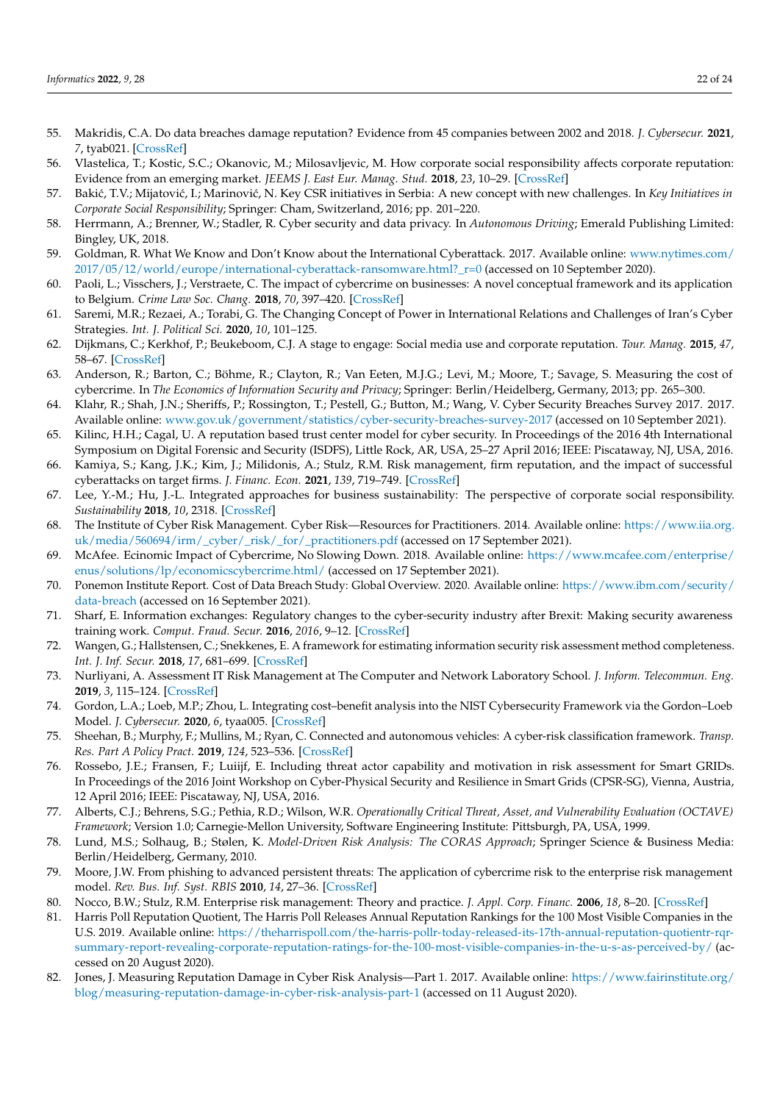- <span id="page-21-0"></span>55. Makridis, C.A. Do data breaches damage reputation? Evidence from 45 companies between 2002 and 2018. *J. Cybersecur.* **2021**, *7*, tyab021. [\[CrossRef\]](http://doi.org/10.1093/cybsec/tyab021)
- <span id="page-21-1"></span>56. Vlastelica, T.; Kostic, S.C.; Okanovic, M.; Milosavljevic, M. How corporate social responsibility affects corporate reputation: Evidence from an emerging market. *JEEMS J. East Eur. Manag. Stud.* **2018**, *23*, 10–29. [\[CrossRef\]](http://doi.org/10.5771/0949-6181-2018-1-10)
- <span id="page-21-2"></span>57. Bakić, T.V.; Mijatović, I.; Marinović, N. Key CSR initiatives in Serbia: A new concept with new challenges. In *Key Initiatives in Corporate Social Responsibility*; Springer: Cham, Switzerland, 2016; pp. 201–220.
- <span id="page-21-3"></span>58. Herrmann, A.; Brenner, W.; Stadler, R. Cyber security and data privacy. In *Autonomous Driving*; Emerald Publishing Limited: Bingley, UK, 2018.
- <span id="page-21-4"></span>59. Goldman, R. What We Know and Don't Know about the International Cyberattack. 2017. Available online: [www.nytimes.com/](www.nytimes.com/2017/05/12/world/europe/international-cyberattack-ransomware.html?_r=0) [2017/05/12/world/europe/international-cyberattack-ransomware.html?\\_r=0](www.nytimes.com/2017/05/12/world/europe/international-cyberattack-ransomware.html?_r=0) (accessed on 10 September 2020).
- <span id="page-21-5"></span>60. Paoli, L.; Visschers, J.; Verstraete, C. The impact of cybercrime on businesses: A novel conceptual framework and its application to Belgium. *Crime Law Soc. Chang.* **2018**, *70*, 397–420. [\[CrossRef\]](http://doi.org/10.1007/s10611-018-9774-y)
- <span id="page-21-6"></span>61. Saremi, M.R.; Rezaei, A.; Torabi, G. The Changing Concept of Power in International Relations and Challenges of Iran's Cyber Strategies. *Int. J. Political Sci.* **2020**, *10*, 101–125.
- <span id="page-21-7"></span>62. Dijkmans, C.; Kerkhof, P.; Beukeboom, C.J. A stage to engage: Social media use and corporate reputation. *Tour. Manag.* **2015**, *47*, 58–67. [\[CrossRef\]](http://doi.org/10.1016/j.tourman.2014.09.005)
- <span id="page-21-8"></span>63. Anderson, R.; Barton, C.; Böhme, R.; Clayton, R.; Van Eeten, M.J.G.; Levi, M.; Moore, T.; Savage, S. Measuring the cost of cybercrime. In *The Economics of Information Security and Privacy*; Springer: Berlin/Heidelberg, Germany, 2013; pp. 265–300.
- <span id="page-21-9"></span>64. Klahr, R.; Shah, J.N.; Sheriffs, P.; Rossington, T.; Pestell, G.; Button, M.; Wang, V. Cyber Security Breaches Survey 2017. 2017. Available online: <www.gov.uk/government/statistics/cyber-security-breaches-survey-2017> (accessed on 10 September 2021).
- <span id="page-21-10"></span>65. Kilinc, H.H.; Cagal, U. A reputation based trust center model for cyber security. In Proceedings of the 2016 4th International Symposium on Digital Forensic and Security (ISDFS), Little Rock, AR, USA, 25–27 April 2016; IEEE: Piscataway, NJ, USA, 2016.
- <span id="page-21-11"></span>66. Kamiya, S.; Kang, J.K.; Kim, J.; Milidonis, A.; Stulz, R.M. Risk management, firm reputation, and the impact of successful cyberattacks on target firms. *J. Financ. Econ.* **2021**, *139*, 719–749. [\[CrossRef\]](http://doi.org/10.1016/j.jfineco.2019.05.019)
- <span id="page-21-12"></span>67. Lee, Y.-M.; Hu, J.-L. Integrated approaches for business sustainability: The perspective of corporate social responsibility. *Sustainability* **2018**, *10*, 2318. [\[CrossRef\]](http://doi.org/10.3390/su10072318)
- <span id="page-21-13"></span>68. The Institute of Cyber Risk Management. Cyber Risk—Resources for Practitioners. 2014. Available online: [https://www.iia.org.](https://www.iia.org.uk/media/560694/irm/_cyber/_risk/_for/_practitioners.pdf) [uk/media/560694/irm/\\_cyber/\\_risk/\\_for/\\_practitioners.pdf](https://www.iia.org.uk/media/560694/irm/_cyber/_risk/_for/_practitioners.pdf) (accessed on 17 September 2021).
- <span id="page-21-14"></span>69. McAfee. Ecinomic Impact of Cybercrime, No Slowing Down. 2018. Available online: [https://www.mcafee.com/enterprise/](https://www.mcafee.com/enterprise/enus/solutions/lp/economicscybercrime.html/) [enus/solutions/lp/economicscybercrime.html/](https://www.mcafee.com/enterprise/enus/solutions/lp/economicscybercrime.html/) (accessed on 17 September 2021).
- <span id="page-21-15"></span>70. Ponemon Institute Report. Cost of Data Breach Study: Global Overview. 2020. Available online: [https://www.ibm.com/security/](https://www.ibm.com/security/data-breach) [data-breach](https://www.ibm.com/security/data-breach) (accessed on 16 September 2021).
- <span id="page-21-16"></span>71. Sharf, E. Information exchanges: Regulatory changes to the cyber-security industry after Brexit: Making security awareness training work. *Comput. Fraud. Secur.* **2016**, *2016*, 9–12. [\[CrossRef\]](http://doi.org/10.1016/S1361-3723(16)30052-5)
- <span id="page-21-17"></span>72. Wangen, G.; Hallstensen, C.; Snekkenes, E. A framework for estimating information security risk assessment method completeness. *Int. J. Inf. Secur.* **2018**, *17*, 681–699. [\[CrossRef\]](http://doi.org/10.1007/s10207-017-0382-0)
- <span id="page-21-18"></span>73. Nurliyani, A. Assessment IT Risk Management at The Computer and Network Laboratory School. *J. Inform. Telecommun. Eng.* **2019**, *3*, 115–124. [\[CrossRef\]](http://doi.org/10.31289/jite.v3i1.2622)
- <span id="page-21-19"></span>74. Gordon, L.A.; Loeb, M.P.; Zhou, L. Integrating cost–benefit analysis into the NIST Cybersecurity Framework via the Gordon–Loeb Model. *J. Cybersecur.* **2020**, *6*, tyaa005. [\[CrossRef\]](http://doi.org/10.1093/cybsec/tyaa005)
- <span id="page-21-20"></span>75. Sheehan, B.; Murphy, F.; Mullins, M.; Ryan, C. Connected and autonomous vehicles: A cyber-risk classification framework. *Transp. Res. Part A Policy Pract.* **2019**, *124*, 523–536. [\[CrossRef\]](http://doi.org/10.1016/j.tra.2018.06.033)
- <span id="page-21-21"></span>76. Rossebo, J.E.; Fransen, F.; Luiijf, E. Including threat actor capability and motivation in risk assessment for Smart GRIDs. In Proceedings of the 2016 Joint Workshop on Cyber-Physical Security and Resilience in Smart Grids (CPSR-SG), Vienna, Austria, 12 April 2016; IEEE: Piscataway, NJ, USA, 2016.
- <span id="page-21-22"></span>77. Alberts, C.J.; Behrens, S.G.; Pethia, R.D.; Wilson, W.R. *Operationally Critical Threat, Asset, and Vulnerability Evaluation (OCTAVE) Framework*; Version 1.0; Carnegie-Mellon University, Software Engineering Institute: Pittsburgh, PA, USA, 1999.
- <span id="page-21-23"></span>78. Lund, M.S.; Solhaug, B.; Stølen, K. *Model-Driven Risk Analysis: The CORAS Approach*; Springer Science & Business Media: Berlin/Heidelberg, Germany, 2010.
- <span id="page-21-24"></span>79. Moore, J.W. From phishing to advanced persistent threats: The application of cybercrime risk to the enterprise risk management model. *Rev. Bus. Inf. Syst. RBIS* **2010**, *14*, 27–36. [\[CrossRef\]](http://doi.org/10.19030/rbis.v14i4.358)
- 80. Nocco, B.W.; Stulz, R.M. Enterprise risk management: Theory and practice. *J. Appl. Corp. Financ.* **2006**, *18*, 8–20. [\[CrossRef\]](http://doi.org/10.1111/j.1745-6622.2006.00106.x)
- <span id="page-21-25"></span>81. Harris Poll Reputation Quotient, The Harris Poll Releases Annual Reputation Rankings for the 100 Most Visible Companies in the U.S. 2019. Available online: [https://theharrispoll.com/the-harris-pollr-today-released-its-17th-annual-reputation-quotientr-rqr](https://theharrispoll.com/the-harris-pollr-today-released-its-17th-annual-reputation-quotientr-rqr-summary-report-revealing-corporate-reputation-ratings-for-the-100-most-visible-companies-in-the-u-s-as-perceived-by/)[summary-report-revealing-corporate-reputation-ratings-for-the-100-most-visible-companies-in-the-u-s-as-perceived-by/](https://theharrispoll.com/the-harris-pollr-today-released-its-17th-annual-reputation-quotientr-rqr-summary-report-revealing-corporate-reputation-ratings-for-the-100-most-visible-companies-in-the-u-s-as-perceived-by/) (accessed on 20 August 2020).
- <span id="page-21-26"></span>82. Jones, J. Measuring Reputation Damage in Cyber Risk Analysis—Part 1. 2017. Available online: [https://www.fairinstitute.org/](https://www.fairinstitute.org/blog/measuring-reputation-damage-in-cyber-risk-analysis-part-1) [blog/measuring-reputation-damage-in-cyber-risk-analysis-part-1](https://www.fairinstitute.org/blog/measuring-reputation-damage-in-cyber-risk-analysis-part-1) (accessed on 11 August 2020).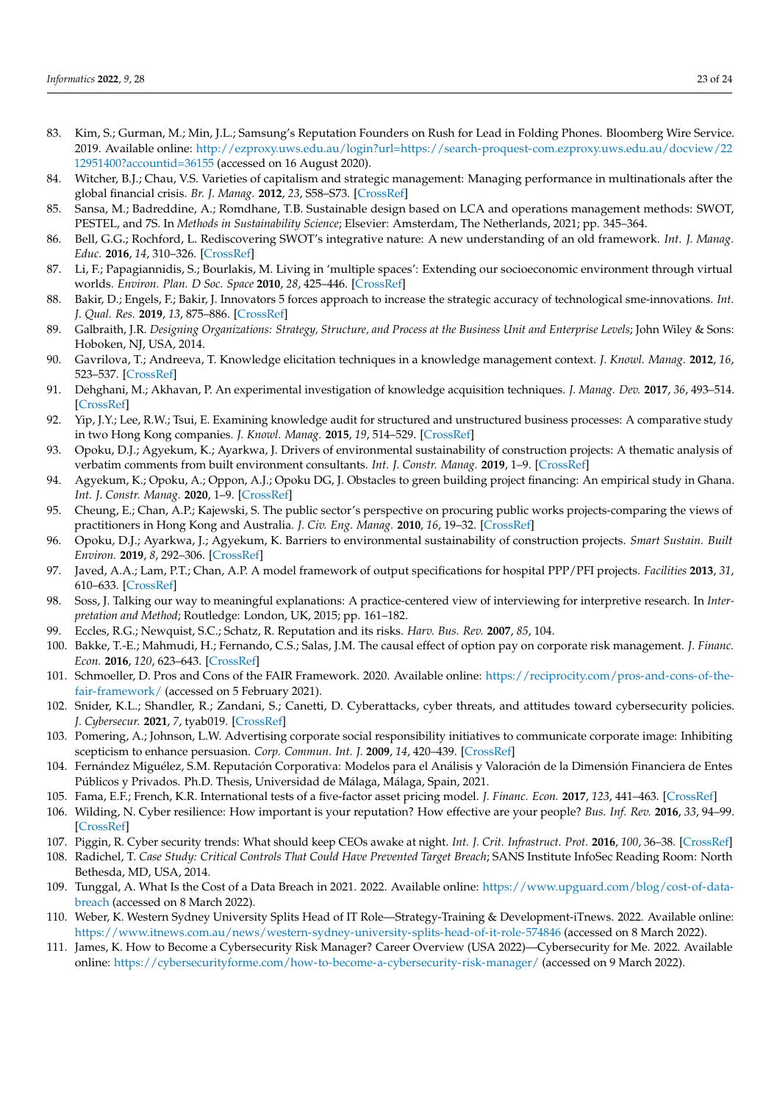- <span id="page-22-0"></span>83. Kim, S.; Gurman, M.; Min, J.L.; Samsung's Reputation Founders on Rush for Lead in Folding Phones. Bloomberg Wire Service. 2019. Available online: [http://ezproxy.uws.edu.au/login?url=https://search-proquest-com.ezproxy.uws.edu.au/docview/22](http://ezproxy.uws.edu.au/login?url=https://search-proquest-com.ezproxy.uws.edu.au/docview/2212951400?accountid=36155) [12951400?accountid=36155](http://ezproxy.uws.edu.au/login?url=https://search-proquest-com.ezproxy.uws.edu.au/docview/2212951400?accountid=36155) (accessed on 16 August 2020).
- <span id="page-22-1"></span>84. Witcher, B.J.; Chau, V.S. Varieties of capitalism and strategic management: Managing performance in multinationals after the global financial crisis. *Br. J. Manag.* **2012**, *23*, S58–S73. [\[CrossRef\]](http://doi.org/10.1111/j.1467-8551.2012.00816.x)
- <span id="page-22-2"></span>85. Sansa, M.; Badreddine, A.; Romdhane, T.B. Sustainable design based on LCA and operations management methods: SWOT, PESTEL, and 7S. In *Methods in Sustainability Science*; Elsevier: Amsterdam, The Netherlands, 2021; pp. 345–364.
- <span id="page-22-3"></span>86. Bell, G.G.; Rochford, L. Rediscovering SWOT's integrative nature: A new understanding of an old framework. *Int. J. Manag. Educ.* **2016**, *14*, 310–326. [\[CrossRef\]](http://doi.org/10.1016/j.ijme.2016.06.003)
- <span id="page-22-4"></span>87. Li, F.; Papagiannidis, S.; Bourlakis, M. Living in 'multiple spaces': Extending our socioeconomic environment through virtual worlds. *Environ. Plan. D Soc. Space* **2010**, *28*, 425–446. [\[CrossRef\]](http://doi.org/10.1068/d14708)
- <span id="page-22-5"></span>88. Bakir, D.; Engels, F.; Bakir, J. Innovators 5 forces approach to increase the strategic accuracy of technological sme-innovations. *Int. J. Qual. Res.* **2019**, *13*, 875–886. [\[CrossRef\]](http://doi.org/10.24874/IJQR13.04-09)
- <span id="page-22-6"></span>89. Galbraith, J.R. *Designing Organizations: Strategy, Structure, and Process at the Business Unit and Enterprise Levels*; John Wiley & Sons: Hoboken, NJ, USA, 2014.
- <span id="page-22-7"></span>90. Gavrilova, T.; Andreeva, T. Knowledge elicitation techniques in a knowledge management context. *J. Knowl. Manag.* **2012**, *16*, 523–537. [\[CrossRef\]](http://doi.org/10.1108/13673271211246112)
- 91. Dehghani, M.; Akhavan, P. An experimental investigation of knowledge acquisition techniques. *J. Manag. Dev.* **2017**, *36*, 493–514. [\[CrossRef\]](http://doi.org/10.1108/JMD-07-2016-0132)
- <span id="page-22-8"></span>92. Yip, J.Y.; Lee, R.W.; Tsui, E. Examining knowledge audit for structured and unstructured business processes: A comparative study in two Hong Kong companies. *J. Knowl. Manag.* **2015**, *19*, 514–529. [\[CrossRef\]](http://doi.org/10.1108/JKM-10-2014-0420)
- <span id="page-22-9"></span>93. Opoku, D.J.; Agyekum, K.; Ayarkwa, J. Drivers of environmental sustainability of construction projects: A thematic analysis of verbatim comments from built environment consultants. *Int. J. Constr. Manag.* **2019**, 1–9. [\[CrossRef\]](http://doi.org/10.1080/15623599.2019.1678865)
- <span id="page-22-10"></span>94. Agyekum, K.; Opoku, A.; Oppon, A.J.; Opoku DG, J. Obstacles to green building project financing: An empirical study in Ghana. *Int. J. Constr. Manag.* **2020**, 1–9. [\[CrossRef\]](http://doi.org/10.1080/15623599.2020.1832182)
- <span id="page-22-11"></span>95. Cheung, E.; Chan, A.P.; Kajewski, S. The public sector's perspective on procuring public works projects-comparing the views of practitioners in Hong Kong and Australia. *J. Civ. Eng. Manag.* **2010**, *16*, 19–32. [\[CrossRef\]](http://doi.org/10.3846/jcem.2010.02)
- <span id="page-22-12"></span>96. Opoku, D.J.; Ayarkwa, J.; Agyekum, K. Barriers to environmental sustainability of construction projects. *Smart Sustain. Built Environ.* **2019**, *8*, 292–306. [\[CrossRef\]](http://doi.org/10.1108/SASBE-08-2018-0040)
- <span id="page-22-13"></span>97. Javed, A.A.; Lam, P.T.; Chan, A.P. A model framework of output specifications for hospital PPP/PFI projects. *Facilities* **2013**, *31*, 610–633. [\[CrossRef\]](http://doi.org/10.1108/f-02-2012-0014)
- <span id="page-22-14"></span>98. Soss, J. Talking our way to meaningful explanations: A practice-centered view of interviewing for interpretive research. In *Interpretation and Method*; Routledge: London, UK, 2015; pp. 161–182.
- <span id="page-22-15"></span>99. Eccles, R.G.; Newquist, S.C.; Schatz, R. Reputation and its risks. *Harv. Bus. Rev.* **2007**, *85*, 104.
- <span id="page-22-16"></span>100. Bakke, T.-E.; Mahmudi, H.; Fernando, C.S.; Salas, J.M. The causal effect of option pay on corporate risk management. *J. Financ. Econ.* **2016**, *120*, 623–643. [\[CrossRef\]](http://doi.org/10.1016/j.jfineco.2016.02.007)
- <span id="page-22-17"></span>101. Schmoeller, D. Pros and Cons of the FAIR Framework. 2020. Available online: [https://reciprocity.com/pros-and-cons-of-the](https://reciprocity.com/pros-and-cons-of-the-fair-framework/)[fair-framework/](https://reciprocity.com/pros-and-cons-of-the-fair-framework/) (accessed on 5 February 2021).
- <span id="page-22-18"></span>102. Snider, K.L.; Shandler, R.; Zandani, S.; Canetti, D. Cyberattacks, cyber threats, and attitudes toward cybersecurity policies. *J. Cybersecur.* **2021**, *7*, tyab019. [\[CrossRef\]](http://doi.org/10.1093/cybsec/tyab019)
- <span id="page-22-19"></span>103. Pomering, A.; Johnson, L.W. Advertising corporate social responsibility initiatives to communicate corporate image: Inhibiting scepticism to enhance persuasion. *Corp. Commun. Int. J.* **2009**, *14*, 420–439. [\[CrossRef\]](http://doi.org/10.1108/13563280910998763)
- <span id="page-22-20"></span>104. Fernández Miguélez, S.M. Reputación Corporativa: Modelos para el Análisis y Valoración de la Dimensión Financiera de Entes Públicos y Privados. Ph.D. Thesis, Universidad de Málaga, Málaga, Spain, 2021.
- <span id="page-22-21"></span>105. Fama, E.F.; French, K.R. International tests of a five-factor asset pricing model. *J. Financ. Econ.* **2017**, *123*, 441–463. [\[CrossRef\]](http://doi.org/10.1016/j.jfineco.2016.11.004)
- <span id="page-22-22"></span>106. Wilding, N. Cyber resilience: How important is your reputation? How effective are your people? *Bus. Inf. Rev.* **2016**, *33*, 94–99. [\[CrossRef\]](http://doi.org/10.1177/0266382116650299)
- <span id="page-22-23"></span>107. Piggin, R. Cyber security trends: What should keep CEOs awake at night. *Int. J. Crit. Infrastruct. Prot.* **2016**, *100*, 36–38. [\[CrossRef\]](http://doi.org/10.1016/j.ijcip.2016.02.001)
- <span id="page-22-24"></span>108. Radichel, T. *Case Study: Critical Controls That Could Have Prevented Target Breach*; SANS Institute InfoSec Reading Room: North Bethesda, MD, USA, 2014.
- <span id="page-22-25"></span>109. Tunggal, A. What Is the Cost of a Data Breach in 2021. 2022. Available online: [https://www.upguard.com/blog/cost-of-data](https://www.upguard.com/blog/cost-of-data-breach)[breach](https://www.upguard.com/blog/cost-of-data-breach) (accessed on 8 March 2022).
- <span id="page-22-26"></span>110. Weber, K. Western Sydney University Splits Head of IT Role—Strategy-Training & Development-iTnews. 2022. Available online: <https://www.itnews.com.au/news/western-sydney-university-splits-head-of-it-role-574846> (accessed on 8 March 2022).
- <span id="page-22-27"></span>111. James, K. How to Become a Cybersecurity Risk Manager? Career Overview (USA 2022)—Cybersecurity for Me. 2022. Available online: <https://cybersecurityforme.com/how-to-become-a-cybersecurity-risk-manager/> (accessed on 9 March 2022).